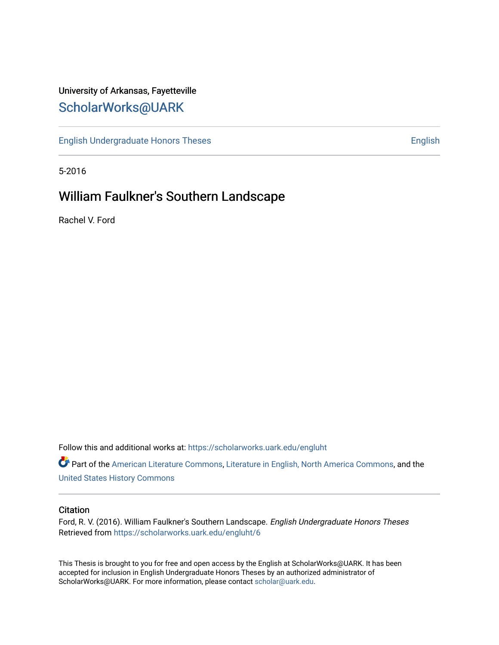# University of Arkansas, Fayetteville [ScholarWorks@UARK](https://scholarworks.uark.edu/)

[English Undergraduate Honors Theses](https://scholarworks.uark.edu/engluht) **English** English

5-2016

# William Faulkner's Southern Landscape

Rachel V. Ford

Follow this and additional works at: [https://scholarworks.uark.edu/engluht](https://scholarworks.uark.edu/engluht?utm_source=scholarworks.uark.edu%2Fengluht%2F6&utm_medium=PDF&utm_campaign=PDFCoverPages)

Part of the [American Literature Commons](http://network.bepress.com/hgg/discipline/441?utm_source=scholarworks.uark.edu%2Fengluht%2F6&utm_medium=PDF&utm_campaign=PDFCoverPages), [Literature in English, North America Commons](http://network.bepress.com/hgg/discipline/458?utm_source=scholarworks.uark.edu%2Fengluht%2F6&utm_medium=PDF&utm_campaign=PDFCoverPages), and the [United States History Commons](http://network.bepress.com/hgg/discipline/495?utm_source=scholarworks.uark.edu%2Fengluht%2F6&utm_medium=PDF&utm_campaign=PDFCoverPages)

#### **Citation**

Ford, R. V. (2016). William Faulkner's Southern Landscape. English Undergraduate Honors Theses Retrieved from [https://scholarworks.uark.edu/engluht/6](https://scholarworks.uark.edu/engluht/6?utm_source=scholarworks.uark.edu%2Fengluht%2F6&utm_medium=PDF&utm_campaign=PDFCoverPages) 

This Thesis is brought to you for free and open access by the English at ScholarWorks@UARK. It has been accepted for inclusion in English Undergraduate Honors Theses by an authorized administrator of ScholarWorks@UARK. For more information, please contact [scholar@uark.edu](mailto:scholar@uark.edu).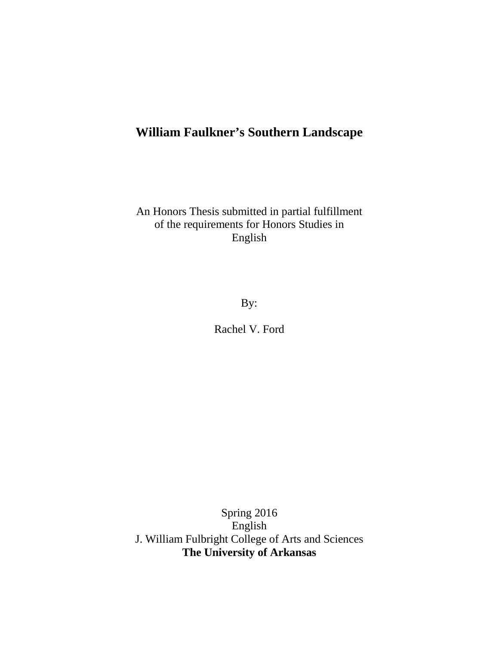# **William Faulkner's Southern Landscape**

An Honors Thesis submitted in partial fulfillment of the requirements for Honors Studies in English

By:

Rachel V. Ford

Spring 2016 English J. William Fulbright College of Arts and Sciences **The University of Arkansas**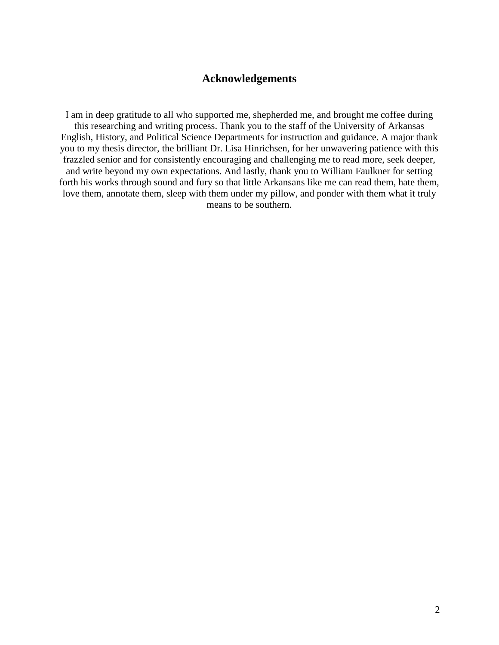### **Acknowledgements**

I am in deep gratitude to all who supported me, shepherded me, and brought me coffee during this researching and writing process. Thank you to the staff of the University of Arkansas English, History, and Political Science Departments for instruction and guidance. A major thank you to my thesis director, the brilliant Dr. Lisa Hinrichsen, for her unwavering patience with this frazzled senior and for consistently encouraging and challenging me to read more, seek deeper, and write beyond my own expectations. And lastly, thank you to William Faulkner for setting forth his works through sound and fury so that little Arkansans like me can read them, hate them, love them, annotate them, sleep with them under my pillow, and ponder with them what it truly means to be southern.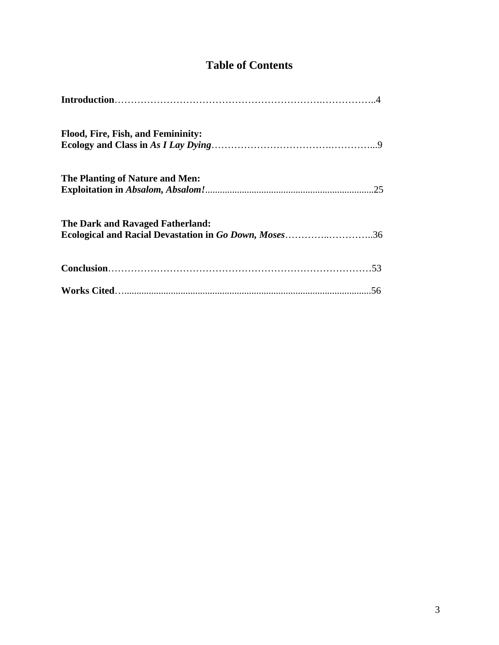## **Table of Contents**

| Flood, Fire, Fish, and Femininity:                                                        |  |
|-------------------------------------------------------------------------------------------|--|
| The Planting of Nature and Men:                                                           |  |
| The Dark and Ravaged Fatherland:<br>Ecological and Racial Devastation in Go Down, Moses36 |  |
|                                                                                           |  |
|                                                                                           |  |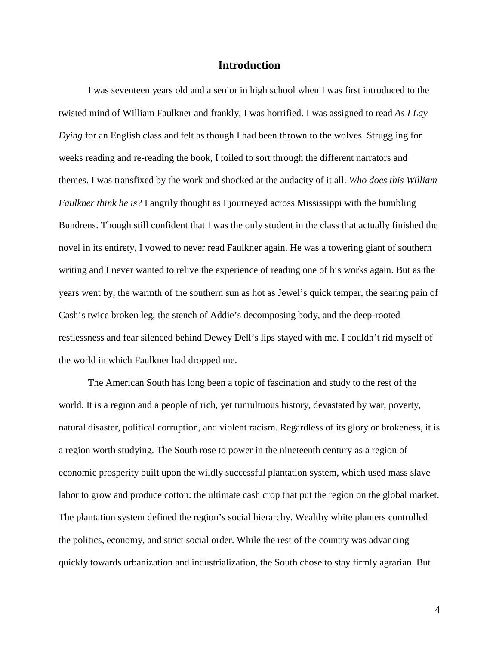#### **Introduction**

I was seventeen years old and a senior in high school when I was first introduced to the twisted mind of William Faulkner and frankly, I was horrified. I was assigned to read *As I Lay Dying* for an English class and felt as though I had been thrown to the wolves. Struggling for weeks reading and re-reading the book, I toiled to sort through the different narrators and themes. I was transfixed by the work and shocked at the audacity of it all. *Who does this William Faulkner think he is?* I angrily thought as I journeyed across Mississippi with the bumbling Bundrens. Though still confident that I was the only student in the class that actually finished the novel in its entirety, I vowed to never read Faulkner again. He was a towering giant of southern writing and I never wanted to relive the experience of reading one of his works again. But as the years went by, the warmth of the southern sun as hot as Jewel's quick temper, the searing pain of Cash's twice broken leg, the stench of Addie's decomposing body, and the deep-rooted restlessness and fear silenced behind Dewey Dell's lips stayed with me. I couldn't rid myself of the world in which Faulkner had dropped me.

The American South has long been a topic of fascination and study to the rest of the world. It is a region and a people of rich, yet tumultuous history, devastated by war, poverty, natural disaster, political corruption, and violent racism. Regardless of its glory or brokeness, it is a region worth studying. The South rose to power in the nineteenth century as a region of economic prosperity built upon the wildly successful plantation system, which used mass slave labor to grow and produce cotton: the ultimate cash crop that put the region on the global market. The plantation system defined the region's social hierarchy. Wealthy white planters controlled the politics, economy, and strict social order. While the rest of the country was advancing quickly towards urbanization and industrialization, the South chose to stay firmly agrarian. But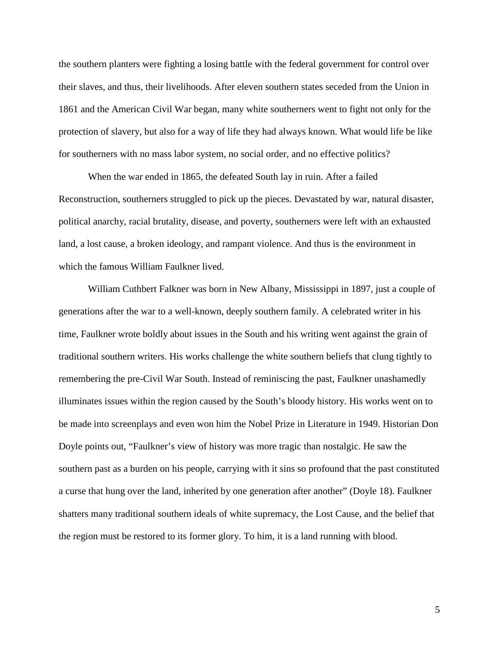the southern planters were fighting a losing battle with the federal government for control over their slaves, and thus, their livelihoods. After eleven southern states seceded from the Union in 1861 and the American Civil War began, many white southerners went to fight not only for the protection of slavery, but also for a way of life they had always known. What would life be like for southerners with no mass labor system, no social order, and no effective politics?

When the war ended in 1865, the defeated South lay in ruin. After a failed Reconstruction, southerners struggled to pick up the pieces. Devastated by war, natural disaster, political anarchy, racial brutality, disease, and poverty, southerners were left with an exhausted land, a lost cause, a broken ideology, and rampant violence. And thus is the environment in which the famous William Faulkner lived.

William Cuthbert Falkner was born in New Albany, Mississippi in 1897, just a couple of generations after the war to a well-known, deeply southern family. A celebrated writer in his time, Faulkner wrote boldly about issues in the South and his writing went against the grain of traditional southern writers. His works challenge the white southern beliefs that clung tightly to remembering the pre-Civil War South. Instead of reminiscing the past, Faulkner unashamedly illuminates issues within the region caused by the South's bloody history. His works went on to be made into screenplays and even won him the Nobel Prize in Literature in 1949. Historian Don Doyle points out, "Faulkner's view of history was more tragic than nostalgic. He saw the southern past as a burden on his people, carrying with it sins so profound that the past constituted a curse that hung over the land, inherited by one generation after another" (Doyle 18). Faulkner shatters many traditional southern ideals of white supremacy, the Lost Cause, and the belief that the region must be restored to its former glory. To him, it is a land running with blood.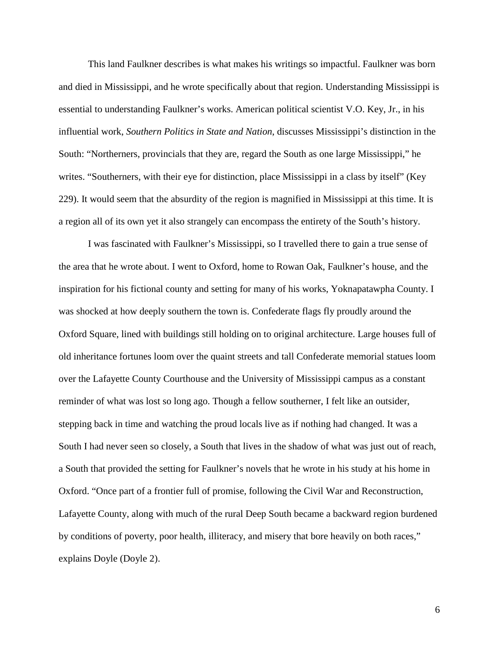This land Faulkner describes is what makes his writings so impactful. Faulkner was born and died in Mississippi, and he wrote specifically about that region. Understanding Mississippi is essential to understanding Faulkner's works. American political scientist V.O. Key, Jr., in his influential work, *Southern Politics in State and Nation*, discusses Mississippi's distinction in the South: "Northerners, provincials that they are, regard the South as one large Mississippi," he writes. "Southerners, with their eye for distinction, place Mississippi in a class by itself" (Key 229). It would seem that the absurdity of the region is magnified in Mississippi at this time. It is a region all of its own yet it also strangely can encompass the entirety of the South's history.

I was fascinated with Faulkner's Mississippi, so I travelled there to gain a true sense of the area that he wrote about. I went to Oxford, home to Rowan Oak, Faulkner's house, and the inspiration for his fictional county and setting for many of his works, Yoknapatawpha County. I was shocked at how deeply southern the town is. Confederate flags fly proudly around the Oxford Square, lined with buildings still holding on to original architecture. Large houses full of old inheritance fortunes loom over the quaint streets and tall Confederate memorial statues loom over the Lafayette County Courthouse and the University of Mississippi campus as a constant reminder of what was lost so long ago. Though a fellow southerner, I felt like an outsider, stepping back in time and watching the proud locals live as if nothing had changed. It was a South I had never seen so closely, a South that lives in the shadow of what was just out of reach, a South that provided the setting for Faulkner's novels that he wrote in his study at his home in Oxford. "Once part of a frontier full of promise, following the Civil War and Reconstruction, Lafayette County, along with much of the rural Deep South became a backward region burdened by conditions of poverty, poor health, illiteracy, and misery that bore heavily on both races," explains Doyle (Doyle 2).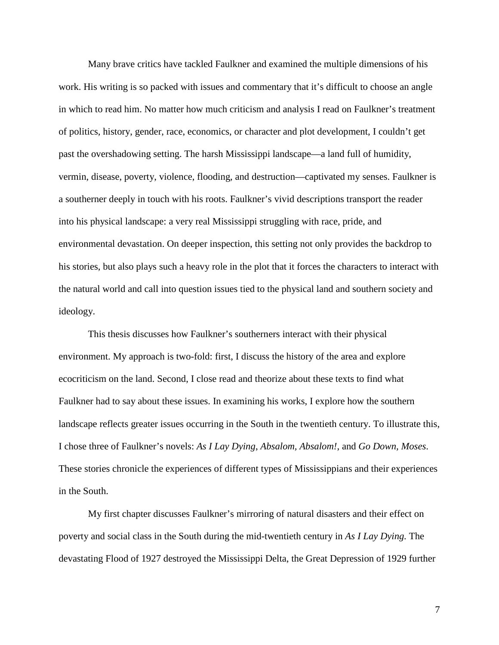Many brave critics have tackled Faulkner and examined the multiple dimensions of his work. His writing is so packed with issues and commentary that it's difficult to choose an angle in which to read him. No matter how much criticism and analysis I read on Faulkner's treatment of politics, history, gender, race, economics, or character and plot development, I couldn't get past the overshadowing setting. The harsh Mississippi landscape—a land full of humidity, vermin, disease, poverty, violence, flooding, and destruction—captivated my senses. Faulkner is a southerner deeply in touch with his roots. Faulkner's vivid descriptions transport the reader into his physical landscape: a very real Mississippi struggling with race, pride, and environmental devastation. On deeper inspection, this setting not only provides the backdrop to his stories, but also plays such a heavy role in the plot that it forces the characters to interact with the natural world and call into question issues tied to the physical land and southern society and ideology.

This thesis discusses how Faulkner's southerners interact with their physical environment. My approach is two-fold: first, I discuss the history of the area and explore ecocriticism on the land. Second, I close read and theorize about these texts to find what Faulkner had to say about these issues. In examining his works, I explore how the southern landscape reflects greater issues occurring in the South in the twentieth century. To illustrate this, I chose three of Faulkner's novels: *As I Lay Dying*, *Absalom, Absalom!*, and *Go Down, Moses*. These stories chronicle the experiences of different types of Mississippians and their experiences in the South.

My first chapter discusses Faulkner's mirroring of natural disasters and their effect on poverty and social class in the South during the mid-twentieth century in *As I Lay Dying.* The devastating Flood of 1927 destroyed the Mississippi Delta, the Great Depression of 1929 further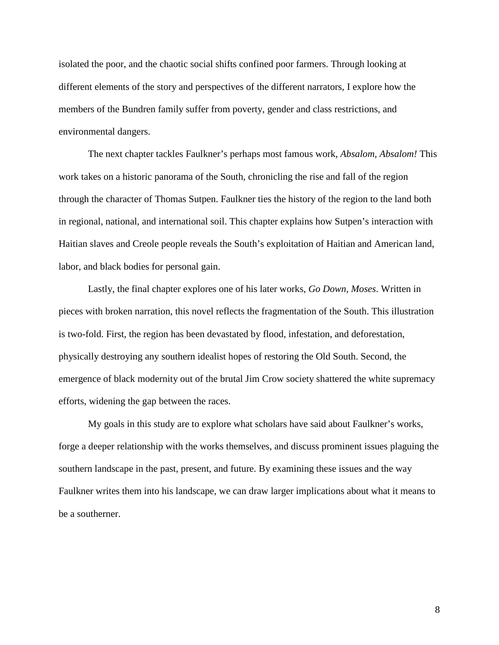isolated the poor, and the chaotic social shifts confined poor farmers. Through looking at different elements of the story and perspectives of the different narrators, I explore how the members of the Bundren family suffer from poverty, gender and class restrictions, and environmental dangers.

The next chapter tackles Faulkner's perhaps most famous work, *Absalom, Absalom!* This work takes on a historic panorama of the South, chronicling the rise and fall of the region through the character of Thomas Sutpen. Faulkner ties the history of the region to the land both in regional, national, and international soil. This chapter explains how Sutpen's interaction with Haitian slaves and Creole people reveals the South's exploitation of Haitian and American land, labor, and black bodies for personal gain.

Lastly, the final chapter explores one of his later works, *Go Down, Moses*. Written in pieces with broken narration, this novel reflects the fragmentation of the South. This illustration is two-fold. First, the region has been devastated by flood, infestation, and deforestation, physically destroying any southern idealist hopes of restoring the Old South. Second, the emergence of black modernity out of the brutal Jim Crow society shattered the white supremacy efforts, widening the gap between the races.

My goals in this study are to explore what scholars have said about Faulkner's works, forge a deeper relationship with the works themselves, and discuss prominent issues plaguing the southern landscape in the past, present, and future. By examining these issues and the way Faulkner writes them into his landscape, we can draw larger implications about what it means to be a southerner.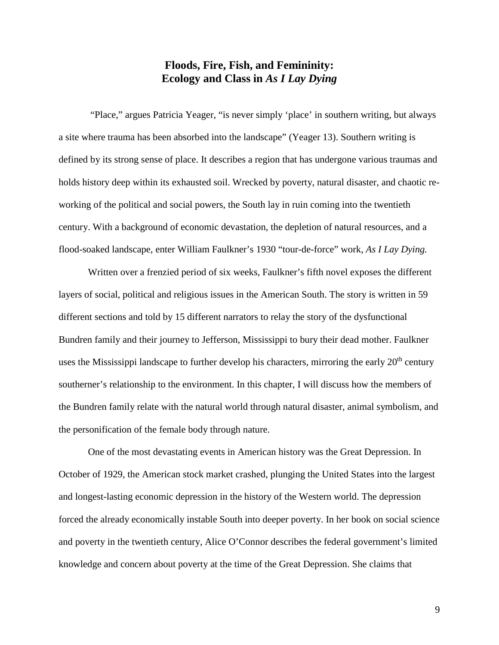## **Floods, Fire, Fish, and Femininity: Ecology and Class in** *As I Lay Dying*

"Place," argues Patricia Yeager, "is never simply 'place' in southern writing, but always a site where trauma has been absorbed into the landscape" (Yeager 13). Southern writing is defined by its strong sense of place. It describes a region that has undergone various traumas and holds history deep within its exhausted soil. Wrecked by poverty, natural disaster, and chaotic reworking of the political and social powers, the South lay in ruin coming into the twentieth century. With a background of economic devastation, the depletion of natural resources, and a flood-soaked landscape, enter William Faulkner's 1930 "tour-de-force" work, *As I Lay Dying.* 

Written over a frenzied period of six weeks, Faulkner's fifth novel exposes the different layers of social, political and religious issues in the American South. The story is written in 59 different sections and told by 15 different narrators to relay the story of the dysfunctional Bundren family and their journey to Jefferson, Mississippi to bury their dead mother. Faulkner uses the Mississippi landscape to further develop his characters, mirroring the early  $20<sup>th</sup>$  century southerner's relationship to the environment. In this chapter, I will discuss how the members of the Bundren family relate with the natural world through natural disaster, animal symbolism, and the personification of the female body through nature.

One of the most devastating events in American history was the Great Depression. In October of 1929, the American stock market crashed, plunging the United States into the largest and longest-lasting economic depression in the history of the Western world. The depression forced the already economically instable South into deeper poverty. In her book on social science and poverty in the twentieth century, Alice O'Connor describes the federal government's limited knowledge and concern about poverty at the time of the Great Depression. She claims that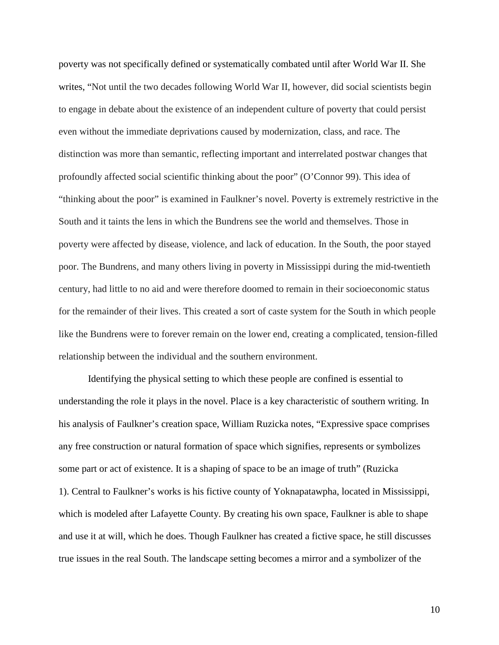poverty was not specifically defined or systematically combated until after World War II. She writes, "Not until the two decades following World War II, however, did social scientists begin to engage in debate about the existence of an independent culture of poverty that could persist even without the immediate deprivations caused by modernization, class, and race. The distinction was more than semantic, reflecting important and interrelated postwar changes that profoundly affected social scientific thinking about the poor" (O'Connor 99). This idea of "thinking about the poor" is examined in Faulkner's novel. Poverty is extremely restrictive in the South and it taints the lens in which the Bundrens see the world and themselves. Those in poverty were affected by disease, violence, and lack of education. In the South, the poor stayed poor. The Bundrens, and many others living in poverty in Mississippi during the mid-twentieth century, had little to no aid and were therefore doomed to remain in their socioeconomic status for the remainder of their lives. This created a sort of caste system for the South in which people like the Bundrens were to forever remain on the lower end, creating a complicated, tension-filled relationship between the individual and the southern environment.

Identifying the physical setting to which these people are confined is essential to understanding the role it plays in the novel. Place is a key characteristic of southern writing. In his analysis of Faulkner's creation space, William Ruzicka notes, "Expressive space comprises any free construction or natural formation of space which signifies, represents or symbolizes some part or act of existence. It is a shaping of space to be an image of truth" (Ruzicka 1). Central to Faulkner's works is his fictive county of Yoknapatawpha, located in Mississippi, which is modeled after Lafayette County. By creating his own space, Faulkner is able to shape and use it at will, which he does. Though Faulkner has created a fictive space, he still discusses true issues in the real South. The landscape setting becomes a mirror and a symbolizer of the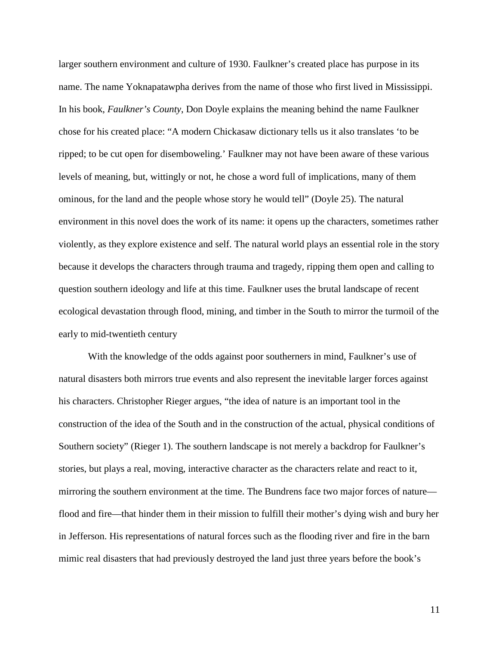larger southern environment and culture of 1930. Faulkner's created place has purpose in its name. The name Yoknapatawpha derives from the name of those who first lived in Mississippi. In his book, *Faulkner's County*, Don Doyle explains the meaning behind the name Faulkner chose for his created place: "A modern Chickasaw dictionary tells us it also translates 'to be ripped; to be cut open for disemboweling.' Faulkner may not have been aware of these various levels of meaning, but, wittingly or not, he chose a word full of implications, many of them ominous, for the land and the people whose story he would tell" (Doyle 25). The natural environment in this novel does the work of its name: it opens up the characters, sometimes rather violently, as they explore existence and self. The natural world plays an essential role in the story because it develops the characters through trauma and tragedy, ripping them open and calling to question southern ideology and life at this time. Faulkner uses the brutal landscape of recent ecological devastation through flood, mining, and timber in the South to mirror the turmoil of the early to mid-twentieth century

With the knowledge of the odds against poor southerners in mind, Faulkner's use of natural disasters both mirrors true events and also represent the inevitable larger forces against his characters. Christopher Rieger argues, "the idea of nature is an important tool in the construction of the idea of the South and in the construction of the actual, physical conditions of Southern society" (Rieger 1). The southern landscape is not merely a backdrop for Faulkner's stories, but plays a real, moving, interactive character as the characters relate and react to it, mirroring the southern environment at the time. The Bundrens face two major forces of nature flood and fire—that hinder them in their mission to fulfill their mother's dying wish and bury her in Jefferson. His representations of natural forces such as the flooding river and fire in the barn mimic real disasters that had previously destroyed the land just three years before the book's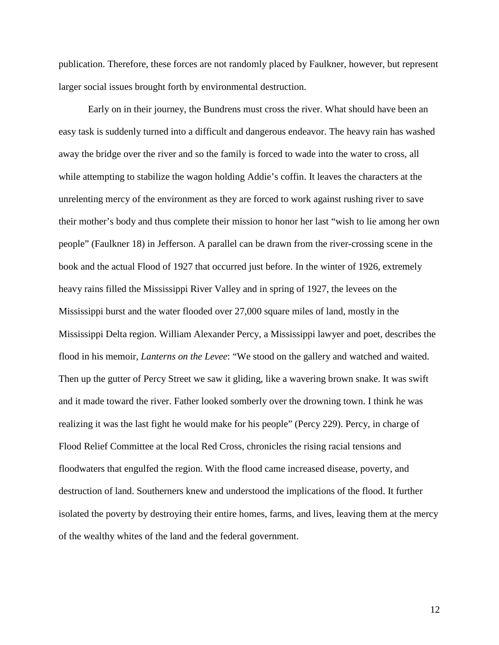publication. Therefore, these forces are not randomly placed by Faulkner, however, but represent larger social issues brought forth by environmental destruction.

Early on in their journey, the Bundrens must cross the river. What should have been an easy task is suddenly turned into a difficult and dangerous endeavor. The heavy rain has washed away the bridge over the river and so the family is forced to wade into the water to cross, all while attempting to stabilize the wagon holding Addie's coffin. It leaves the characters at the unrelenting mercy of the environment as they are forced to work against rushing river to save their mother's body and thus complete their mission to honor her last "wish to lie among her own people" (Faulkner 18) in Jefferson. A parallel can be drawn from the river-crossing scene in the book and the actual Flood of 1927 that occurred just before. In the winter of 1926, extremely heavy rains filled the Mississippi River Valley and in spring of 1927, the levees on the Mississippi burst and the water flooded over 27,000 square miles of land, mostly in the Mississippi Delta region. William Alexander Percy, a Mississippi lawyer and poet, describes the flood in his memoir, *Lanterns on the Levee*: "We stood on the gallery and watched and waited. Then up the gutter of Percy Street we saw it gliding, like a wavering brown snake. It was swift and it made toward the river. Father looked somberly over the drowning town. I think he was realizing it was the last fight he would make for his people" (Percy 229). Percy, in charge of Flood Relief Committee at the local Red Cross, chronicles the rising racial tensions and floodwaters that engulfed the region. With the flood came increased disease, poverty, and destruction of land. Southerners knew and understood the implications of the flood. It further isolated the poverty by destroying their entire homes, farms, and lives, leaving them at the mercy of the wealthy whites of the land and the federal government.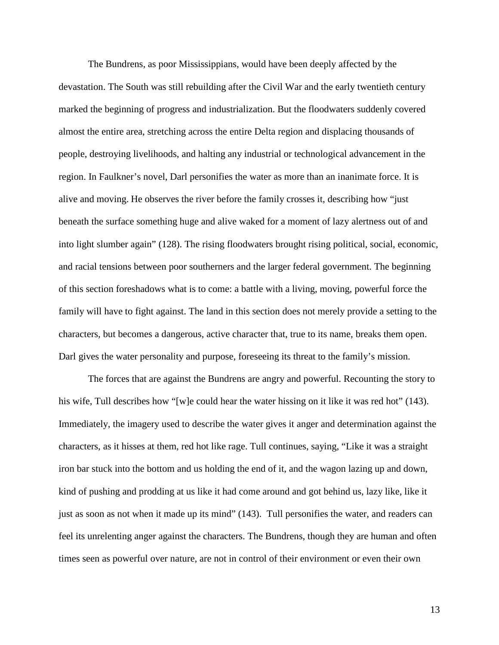The Bundrens, as poor Mississippians, would have been deeply affected by the devastation. The South was still rebuilding after the Civil War and the early twentieth century marked the beginning of progress and industrialization. But the floodwaters suddenly covered almost the entire area, stretching across the entire Delta region and displacing thousands of people, destroying livelihoods, and halting any industrial or technological advancement in the region. In Faulkner's novel, Darl personifies the water as more than an inanimate force. It is alive and moving. He observes the river before the family crosses it, describing how "just beneath the surface something huge and alive waked for a moment of lazy alertness out of and into light slumber again" (128). The rising floodwaters brought rising political, social, economic, and racial tensions between poor southerners and the larger federal government. The beginning of this section foreshadows what is to come: a battle with a living, moving, powerful force the family will have to fight against. The land in this section does not merely provide a setting to the characters, but becomes a dangerous, active character that, true to its name, breaks them open. Darl gives the water personality and purpose, foreseeing its threat to the family's mission.

The forces that are against the Bundrens are angry and powerful. Recounting the story to his wife, Tull describes how "[w]e could hear the water hissing on it like it was red hot" (143). Immediately, the imagery used to describe the water gives it anger and determination against the characters, as it hisses at them, red hot like rage. Tull continues, saying, "Like it was a straight iron bar stuck into the bottom and us holding the end of it, and the wagon lazing up and down, kind of pushing and prodding at us like it had come around and got behind us, lazy like, like it just as soon as not when it made up its mind" (143). Tull personifies the water, and readers can feel its unrelenting anger against the characters. The Bundrens, though they are human and often times seen as powerful over nature, are not in control of their environment or even their own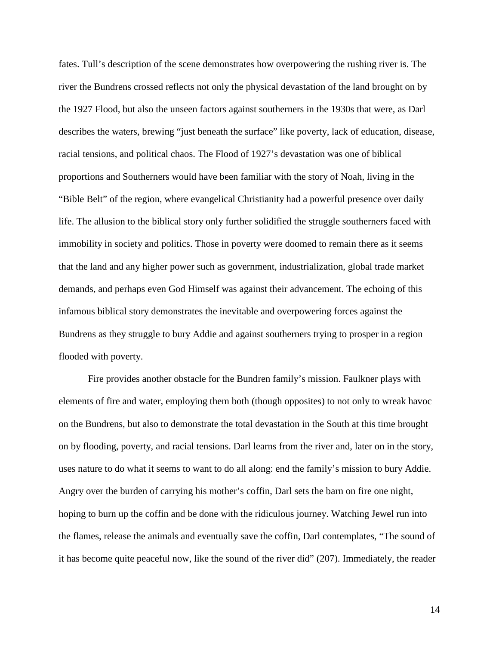fates. Tull's description of the scene demonstrates how overpowering the rushing river is. The river the Bundrens crossed reflects not only the physical devastation of the land brought on by the 1927 Flood, but also the unseen factors against southerners in the 1930s that were, as Darl describes the waters, brewing "just beneath the surface" like poverty, lack of education, disease, racial tensions, and political chaos. The Flood of 1927's devastation was one of biblical proportions and Southerners would have been familiar with the story of Noah, living in the "Bible Belt" of the region, where evangelical Christianity had a powerful presence over daily life. The allusion to the biblical story only further solidified the struggle southerners faced with immobility in society and politics. Those in poverty were doomed to remain there as it seems that the land and any higher power such as government, industrialization, global trade market demands, and perhaps even God Himself was against their advancement. The echoing of this infamous biblical story demonstrates the inevitable and overpowering forces against the Bundrens as they struggle to bury Addie and against southerners trying to prosper in a region flooded with poverty.

Fire provides another obstacle for the Bundren family's mission. Faulkner plays with elements of fire and water, employing them both (though opposites) to not only to wreak havoc on the Bundrens, but also to demonstrate the total devastation in the South at this time brought on by flooding, poverty, and racial tensions. Darl learns from the river and, later on in the story, uses nature to do what it seems to want to do all along: end the family's mission to bury Addie. Angry over the burden of carrying his mother's coffin, Darl sets the barn on fire one night, hoping to burn up the coffin and be done with the ridiculous journey. Watching Jewel run into the flames, release the animals and eventually save the coffin, Darl contemplates, "The sound of it has become quite peaceful now, like the sound of the river did" (207). Immediately, the reader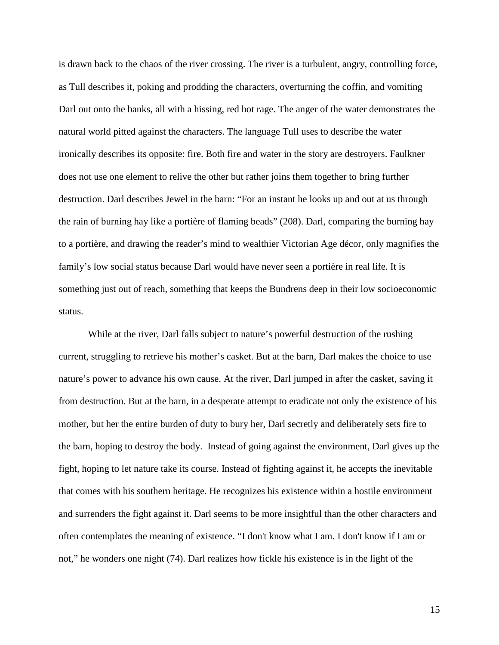is drawn back to the chaos of the river crossing. The river is a turbulent, angry, controlling force, as Tull describes it, poking and prodding the characters, overturning the coffin, and vomiting Darl out onto the banks, all with a hissing, red hot rage. The anger of the water demonstrates the natural world pitted against the characters. The language Tull uses to describe the water ironically describes its opposite: fire. Both fire and water in the story are destroyers. Faulkner does not use one element to relive the other but rather joins them together to bring further destruction. Darl describes Jewel in the barn: "For an instant he looks up and out at us through the rain of burning hay like a portière of flaming beads" (208). Darl, comparing the burning hay to a portière, and drawing the reader's mind to wealthier Victorian Age décor, only magnifies the family's low social status because Darl would have never seen a portière in real life. It is something just out of reach, something that keeps the Bundrens deep in their low socioeconomic status.

While at the river, Darl falls subject to nature's powerful destruction of the rushing current, struggling to retrieve his mother's casket. But at the barn, Darl makes the choice to use nature's power to advance his own cause. At the river, Darl jumped in after the casket, saving it from destruction. But at the barn, in a desperate attempt to eradicate not only the existence of his mother, but her the entire burden of duty to bury her, Darl secretly and deliberately sets fire to the barn, hoping to destroy the body. Instead of going against the environment, Darl gives up the fight, hoping to let nature take its course. Instead of fighting against it, he accepts the inevitable that comes with his southern heritage. He recognizes his existence within a hostile environment and surrenders the fight against it. Darl seems to be more insightful than the other characters and often contemplates the meaning of existence. "I don't know what I am. I don't know if I am or not," he wonders one night (74). Darl realizes how fickle his existence is in the light of the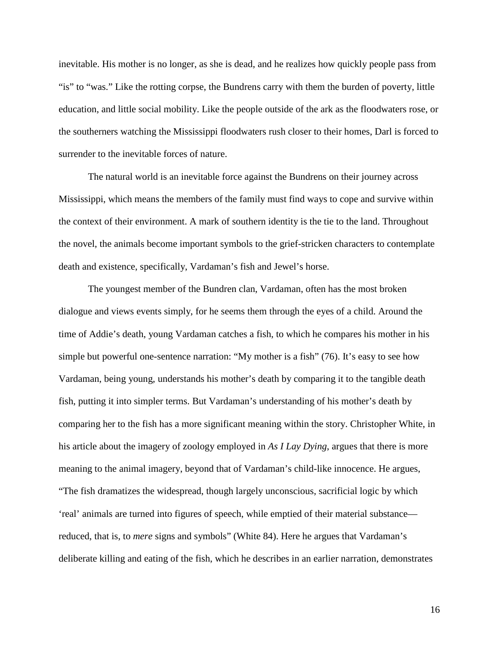inevitable. His mother is no longer, as she is dead, and he realizes how quickly people pass from "is" to "was." Like the rotting corpse, the Bundrens carry with them the burden of poverty, little education, and little social mobility. Like the people outside of the ark as the floodwaters rose, or the southerners watching the Mississippi floodwaters rush closer to their homes, Darl is forced to surrender to the inevitable forces of nature.

The natural world is an inevitable force against the Bundrens on their journey across Mississippi, which means the members of the family must find ways to cope and survive within the context of their environment. A mark of southern identity is the tie to the land. Throughout the novel, the animals become important symbols to the grief-stricken characters to contemplate death and existence, specifically, Vardaman's fish and Jewel's horse.

The youngest member of the Bundren clan, Vardaman, often has the most broken dialogue and views events simply, for he seems them through the eyes of a child. Around the time of Addie's death, young Vardaman catches a fish, to which he compares his mother in his simple but powerful one-sentence narration: "My mother is a fish" (76). It's easy to see how Vardaman, being young, understands his mother's death by comparing it to the tangible death fish, putting it into simpler terms. But Vardaman's understanding of his mother's death by comparing her to the fish has a more significant meaning within the story. Christopher White, in his article about the imagery of zoology employed in *As I Lay Dying*, argues that there is more meaning to the animal imagery, beyond that of Vardaman's child-like innocence. He argues, "The fish dramatizes the widespread, though largely unconscious, sacrificial logic by which 'real' animals are turned into figures of speech, while emptied of their material substance reduced, that is, to *mere* signs and symbols" (White 84). Here he argues that Vardaman's deliberate killing and eating of the fish, which he describes in an earlier narration, demonstrates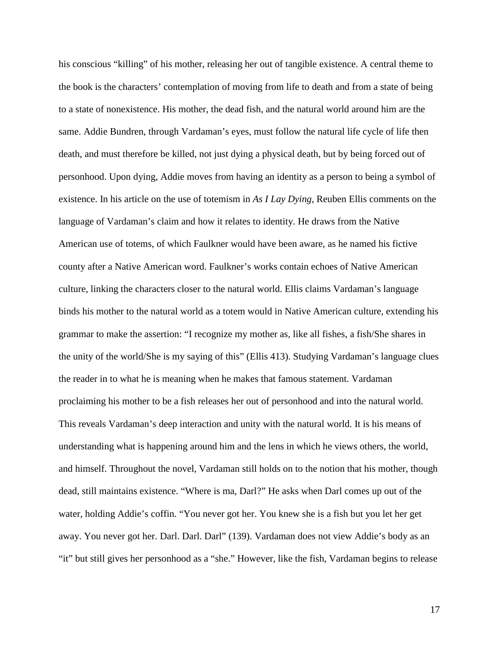his conscious "killing" of his mother, releasing her out of tangible existence. A central theme to the book is the characters' contemplation of moving from life to death and from a state of being to a state of nonexistence. His mother, the dead fish, and the natural world around him are the same. Addie Bundren, through Vardaman's eyes, must follow the natural life cycle of life then death, and must therefore be killed, not just dying a physical death, but by being forced out of personhood. Upon dying, Addie moves from having an identity as a person to being a symbol of existence. In his article on the use of totemism in *As I Lay Dying,* Reuben Ellis comments on the language of Vardaman's claim and how it relates to identity. He draws from the Native American use of totems, of which Faulkner would have been aware, as he named his fictive county after a Native American word. Faulkner's works contain echoes of Native American culture, linking the characters closer to the natural world. Ellis claims Vardaman's language binds his mother to the natural world as a totem would in Native American culture, extending his grammar to make the assertion: "I recognize my mother as, like all fishes, a fish/She shares in the unity of the world/She is my saying of this" (Ellis 413). Studying Vardaman's language clues the reader in to what he is meaning when he makes that famous statement. Vardaman proclaiming his mother to be a fish releases her out of personhood and into the natural world. This reveals Vardaman's deep interaction and unity with the natural world. It is his means of understanding what is happening around him and the lens in which he views others, the world, and himself. Throughout the novel, Vardaman still holds on to the notion that his mother, though dead, still maintains existence. "Where is ma, Darl?" He asks when Darl comes up out of the water, holding Addie's coffin. "You never got her. You knew she is a fish but you let her get away. You never got her. Darl. Darl. Darl" (139). Vardaman does not view Addie's body as an "it" but still gives her personhood as a "she." However, like the fish, Vardaman begins to release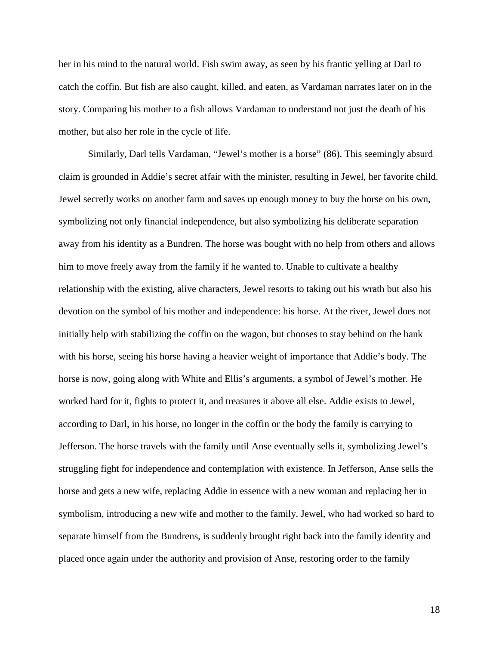her in his mind to the natural world. Fish swim away, as seen by his frantic yelling at Darl to catch the coffin. But fish are also caught, killed, and eaten, as Vardaman narrates later on in the story. Comparing his mother to a fish allows Vardaman to understand not just the death of his mother, but also her role in the cycle of life.

Similarly, Darl tells Vardaman, "Jewel's mother is a horse" (86). This seemingly absurd claim is grounded in Addie's secret affair with the minister, resulting in Jewel, her favorite child. Jewel secretly works on another farm and saves up enough money to buy the horse on his own, symbolizing not only financial independence, but also symbolizing his deliberate separation away from his identity as a Bundren. The horse was bought with no help from others and allows him to move freely away from the family if he wanted to. Unable to cultivate a healthy relationship with the existing, alive characters, Jewel resorts to taking out his wrath but also his devotion on the symbol of his mother and independence: his horse. At the river, Jewel does not initially help with stabilizing the coffin on the wagon, but chooses to stay behind on the bank with his horse, seeing his horse having a heavier weight of importance that Addie's body. The horse is now, going along with White and Ellis's arguments, a symbol of Jewel's mother. He worked hard for it, fights to protect it, and treasures it above all else. Addie exists to Jewel, according to Darl, in his horse, no longer in the coffin or the body the family is carrying to Jefferson. The horse travels with the family until Anse eventually sells it, symbolizing Jewel's struggling fight for independence and contemplation with existence. In Jefferson, Anse sells the horse and gets a new wife, replacing Addie in essence with a new woman and replacing her in symbolism, introducing a new wife and mother to the family. Jewel, who had worked so hard to separate himself from the Bundrens, is suddenly brought right back into the family identity and placed once again under the authority and provision of Anse, restoring order to the family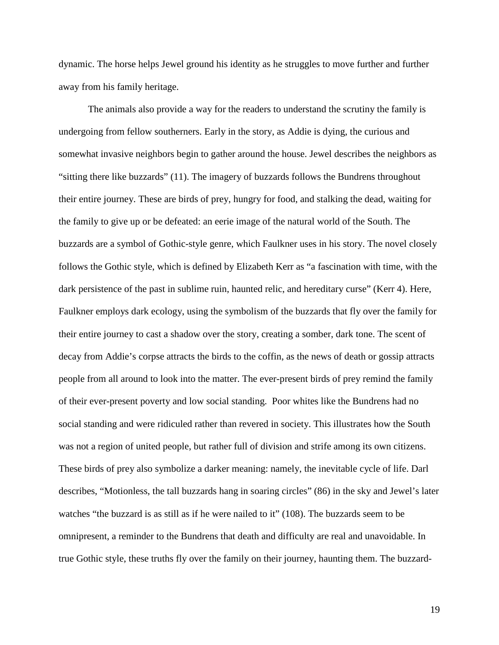dynamic. The horse helps Jewel ground his identity as he struggles to move further and further away from his family heritage.

The animals also provide a way for the readers to understand the scrutiny the family is undergoing from fellow southerners. Early in the story, as Addie is dying, the curious and somewhat invasive neighbors begin to gather around the house. Jewel describes the neighbors as "sitting there like buzzards" (11). The imagery of buzzards follows the Bundrens throughout their entire journey. These are birds of prey, hungry for food, and stalking the dead, waiting for the family to give up or be defeated: an eerie image of the natural world of the South. The buzzards are a symbol of Gothic-style genre, which Faulkner uses in his story. The novel closely follows the Gothic style, which is defined by Elizabeth Kerr as "a fascination with time, with the dark persistence of the past in sublime ruin, haunted relic, and hereditary curse" (Kerr 4). Here, Faulkner employs dark ecology, using the symbolism of the buzzards that fly over the family for their entire journey to cast a shadow over the story, creating a somber, dark tone. The scent of decay from Addie's corpse attracts the birds to the coffin, as the news of death or gossip attracts people from all around to look into the matter. The ever-present birds of prey remind the family of their ever-present poverty and low social standing. Poor whites like the Bundrens had no social standing and were ridiculed rather than revered in society. This illustrates how the South was not a region of united people, but rather full of division and strife among its own citizens. These birds of prey also symbolize a darker meaning: namely, the inevitable cycle of life. Darl describes, "Motionless, the tall buzzards hang in soaring circles" (86) in the sky and Jewel's later watches "the buzzard is as still as if he were nailed to it" (108). The buzzards seem to be omnipresent, a reminder to the Bundrens that death and difficulty are real and unavoidable. In true Gothic style, these truths fly over the family on their journey, haunting them. The buzzard-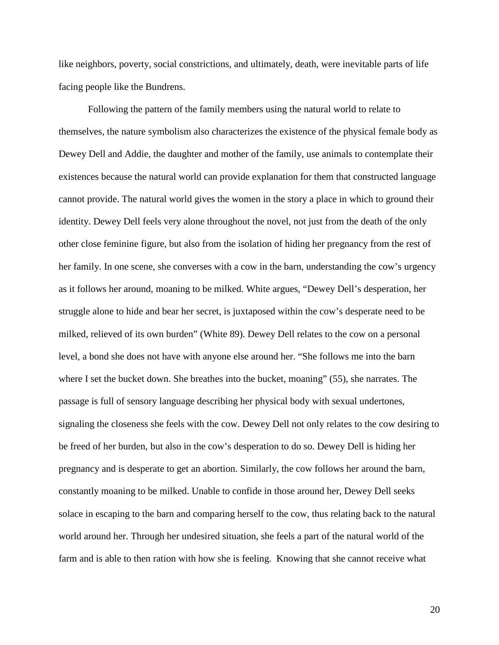like neighbors, poverty, social constrictions, and ultimately, death, were inevitable parts of life facing people like the Bundrens.

Following the pattern of the family members using the natural world to relate to themselves, the nature symbolism also characterizes the existence of the physical female body as Dewey Dell and Addie, the daughter and mother of the family, use animals to contemplate their existences because the natural world can provide explanation for them that constructed language cannot provide. The natural world gives the women in the story a place in which to ground their identity. Dewey Dell feels very alone throughout the novel, not just from the death of the only other close feminine figure, but also from the isolation of hiding her pregnancy from the rest of her family. In one scene, she converses with a cow in the barn, understanding the cow's urgency as it follows her around, moaning to be milked. White argues, "Dewey Dell's desperation, her struggle alone to hide and bear her secret, is juxtaposed within the cow's desperate need to be milked, relieved of its own burden" (White 89). Dewey Dell relates to the cow on a personal level, a bond she does not have with anyone else around her. "She follows me into the barn where I set the bucket down. She breathes into the bucket, moaning" (55), she narrates. The passage is full of sensory language describing her physical body with sexual undertones, signaling the closeness she feels with the cow. Dewey Dell not only relates to the cow desiring to be freed of her burden, but also in the cow's desperation to do so. Dewey Dell is hiding her pregnancy and is desperate to get an abortion. Similarly, the cow follows her around the barn, constantly moaning to be milked. Unable to confide in those around her, Dewey Dell seeks solace in escaping to the barn and comparing herself to the cow, thus relating back to the natural world around her. Through her undesired situation, she feels a part of the natural world of the farm and is able to then ration with how she is feeling. Knowing that she cannot receive what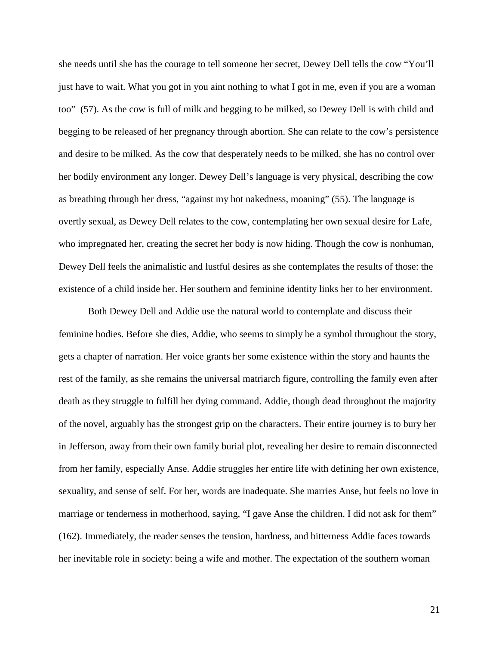she needs until she has the courage to tell someone her secret, Dewey Dell tells the cow "You'll just have to wait. What you got in you aint nothing to what I got in me, even if you are a woman too" (57). As the cow is full of milk and begging to be milked, so Dewey Dell is with child and begging to be released of her pregnancy through abortion. She can relate to the cow's persistence and desire to be milked. As the cow that desperately needs to be milked, she has no control over her bodily environment any longer. Dewey Dell's language is very physical, describing the cow as breathing through her dress, "against my hot nakedness, moaning" (55). The language is overtly sexual, as Dewey Dell relates to the cow, contemplating her own sexual desire for Lafe, who impregnated her, creating the secret her body is now hiding. Though the cow is nonhuman, Dewey Dell feels the animalistic and lustful desires as she contemplates the results of those: the existence of a child inside her. Her southern and feminine identity links her to her environment.

Both Dewey Dell and Addie use the natural world to contemplate and discuss their feminine bodies. Before she dies, Addie, who seems to simply be a symbol throughout the story, gets a chapter of narration. Her voice grants her some existence within the story and haunts the rest of the family, as she remains the universal matriarch figure, controlling the family even after death as they struggle to fulfill her dying command. Addie, though dead throughout the majority of the novel, arguably has the strongest grip on the characters. Their entire journey is to bury her in Jefferson, away from their own family burial plot, revealing her desire to remain disconnected from her family, especially Anse. Addie struggles her entire life with defining her own existence, sexuality, and sense of self. For her, words are inadequate. She marries Anse, but feels no love in marriage or tenderness in motherhood, saying, "I gave Anse the children. I did not ask for them" (162). Immediately, the reader senses the tension, hardness, and bitterness Addie faces towards her inevitable role in society: being a wife and mother. The expectation of the southern woman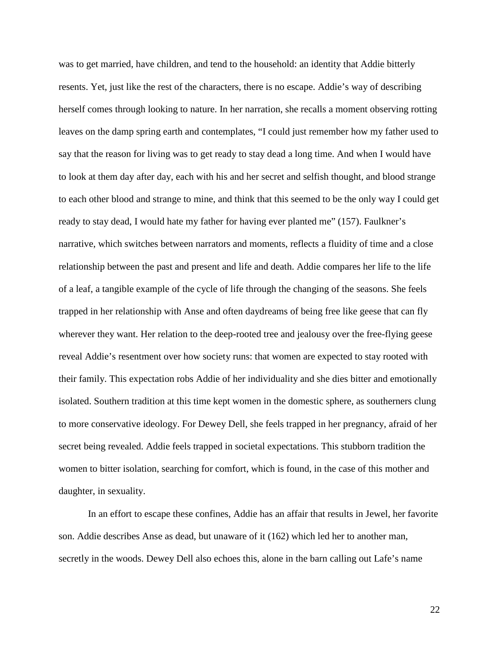was to get married, have children, and tend to the household: an identity that Addie bitterly resents. Yet, just like the rest of the characters, there is no escape. Addie's way of describing herself comes through looking to nature. In her narration, she recalls a moment observing rotting leaves on the damp spring earth and contemplates, "I could just remember how my father used to say that the reason for living was to get ready to stay dead a long time. And when I would have to look at them day after day, each with his and her secret and selfish thought, and blood strange to each other blood and strange to mine, and think that this seemed to be the only way I could get ready to stay dead, I would hate my father for having ever planted me" (157). Faulkner's narrative, which switches between narrators and moments, reflects a fluidity of time and a close relationship between the past and present and life and death. Addie compares her life to the life of a leaf, a tangible example of the cycle of life through the changing of the seasons. She feels trapped in her relationship with Anse and often daydreams of being free like geese that can fly wherever they want. Her relation to the deep-rooted tree and jealousy over the free-flying geese reveal Addie's resentment over how society runs: that women are expected to stay rooted with their family. This expectation robs Addie of her individuality and she dies bitter and emotionally isolated. Southern tradition at this time kept women in the domestic sphere, as southerners clung to more conservative ideology. For Dewey Dell, she feels trapped in her pregnancy, afraid of her secret being revealed. Addie feels trapped in societal expectations. This stubborn tradition the women to bitter isolation, searching for comfort, which is found, in the case of this mother and daughter, in sexuality.

In an effort to escape these confines, Addie has an affair that results in Jewel, her favorite son. Addie describes Anse as dead, but unaware of it (162) which led her to another man, secretly in the woods. Dewey Dell also echoes this, alone in the barn calling out Lafe's name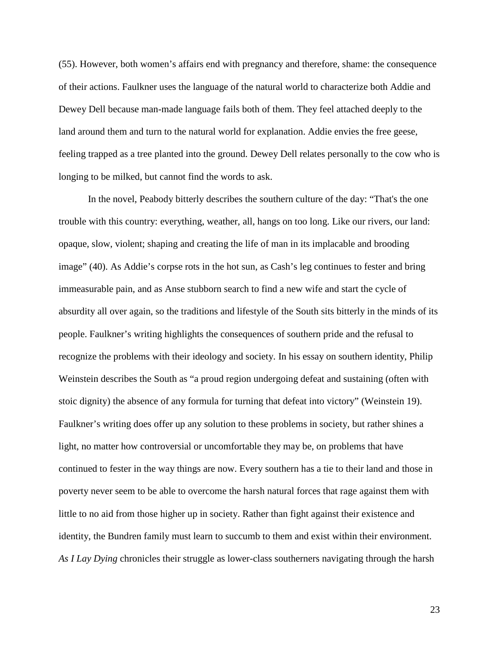(55). However, both women's affairs end with pregnancy and therefore, shame: the consequence of their actions. Faulkner uses the language of the natural world to characterize both Addie and Dewey Dell because man-made language fails both of them. They feel attached deeply to the land around them and turn to the natural world for explanation. Addie envies the free geese, feeling trapped as a tree planted into the ground. Dewey Dell relates personally to the cow who is longing to be milked, but cannot find the words to ask.

In the novel, Peabody bitterly describes the southern culture of the day: "That's the one trouble with this country: everything, weather, all, hangs on too long. Like our rivers, our land: opaque, slow, violent; shaping and creating the life of man in its implacable and brooding image" (40). As Addie's corpse rots in the hot sun, as Cash's leg continues to fester and bring immeasurable pain, and as Anse stubborn search to find a new wife and start the cycle of absurdity all over again, so the traditions and lifestyle of the South sits bitterly in the minds of its people. Faulkner's writing highlights the consequences of southern pride and the refusal to recognize the problems with their ideology and society. In his essay on southern identity, Philip Weinstein describes the South as "a proud region undergoing defeat and sustaining (often with stoic dignity) the absence of any formula for turning that defeat into victory" (Weinstein 19). Faulkner's writing does offer up any solution to these problems in society, but rather shines a light, no matter how controversial or uncomfortable they may be, on problems that have continued to fester in the way things are now. Every southern has a tie to their land and those in poverty never seem to be able to overcome the harsh natural forces that rage against them with little to no aid from those higher up in society. Rather than fight against their existence and identity, the Bundren family must learn to succumb to them and exist within their environment. *As I Lay Dying* chronicles their struggle as lower-class southerners navigating through the harsh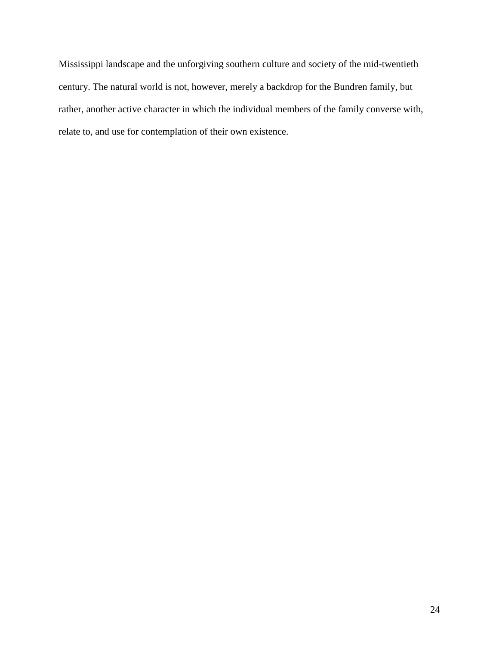Mississippi landscape and the unforgiving southern culture and society of the mid-twentieth century. The natural world is not, however, merely a backdrop for the Bundren family, but rather, another active character in which the individual members of the family converse with, relate to, and use for contemplation of their own existence.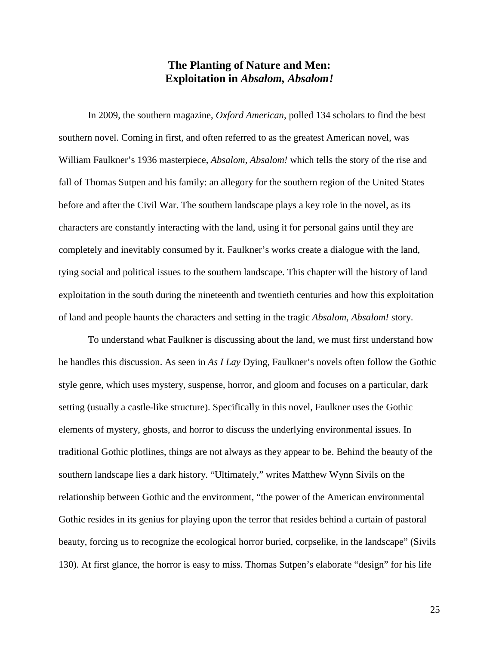### **The Planting of Nature and Men: Exploitation in** *Absalom, Absalom!*

In 2009, the southern magazine, *Oxford American*, polled 134 scholars to find the best southern novel. Coming in first, and often referred to as the greatest American novel, was William Faulkner's 1936 masterpiece, *Absalom, Absalom!* which tells the story of the rise and fall of Thomas Sutpen and his family: an allegory for the southern region of the United States before and after the Civil War. The southern landscape plays a key role in the novel, as its characters are constantly interacting with the land, using it for personal gains until they are completely and inevitably consumed by it. Faulkner's works create a dialogue with the land, tying social and political issues to the southern landscape. This chapter will the history of land exploitation in the south during the nineteenth and twentieth centuries and how this exploitation of land and people haunts the characters and setting in the tragic *Absalom, Absalom!* story.

To understand what Faulkner is discussing about the land, we must first understand how he handles this discussion. As seen in *As I Lay* Dying, Faulkner's novels often follow the Gothic style genre, which uses mystery, suspense, horror, and gloom and focuses on a particular, dark setting (usually a castle-like structure). Specifically in this novel, Faulkner uses the Gothic elements of mystery, ghosts, and horror to discuss the underlying environmental issues. In traditional Gothic plotlines, things are not always as they appear to be. Behind the beauty of the southern landscape lies a dark history. "Ultimately," writes Matthew Wynn Sivils on the relationship between Gothic and the environment, "the power of the American environmental Gothic resides in its genius for playing upon the terror that resides behind a curtain of pastoral beauty, forcing us to recognize the ecological horror buried, corpselike, in the landscape" (Sivils 130). At first glance, the horror is easy to miss. Thomas Sutpen's elaborate "design" for his life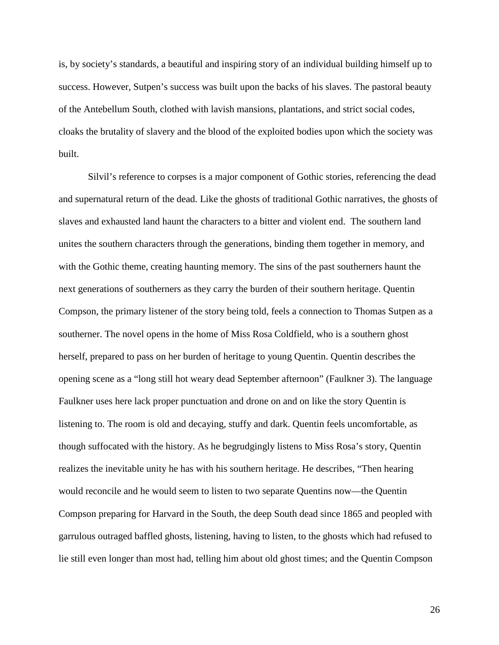is, by society's standards, a beautiful and inspiring story of an individual building himself up to success. However, Sutpen's success was built upon the backs of his slaves. The pastoral beauty of the Antebellum South, clothed with lavish mansions, plantations, and strict social codes, cloaks the brutality of slavery and the blood of the exploited bodies upon which the society was built.

Silvil's reference to corpses is a major component of Gothic stories, referencing the dead and supernatural return of the dead. Like the ghosts of traditional Gothic narratives, the ghosts of slaves and exhausted land haunt the characters to a bitter and violent end. The southern land unites the southern characters through the generations, binding them together in memory, and with the Gothic theme, creating haunting memory. The sins of the past southerners haunt the next generations of southerners as they carry the burden of their southern heritage. Quentin Compson, the primary listener of the story being told, feels a connection to Thomas Sutpen as a southerner. The novel opens in the home of Miss Rosa Coldfield, who is a southern ghost herself, prepared to pass on her burden of heritage to young Quentin. Quentin describes the opening scene as a "long still hot weary dead September afternoon" (Faulkner 3). The language Faulkner uses here lack proper punctuation and drone on and on like the story Quentin is listening to. The room is old and decaying, stuffy and dark. Quentin feels uncomfortable, as though suffocated with the history. As he begrudgingly listens to Miss Rosa's story, Quentin realizes the inevitable unity he has with his southern heritage. He describes, "Then hearing would reconcile and he would seem to listen to two separate Quentins now—the Quentin Compson preparing for Harvard in the South, the deep South dead since 1865 and peopled with garrulous outraged baffled ghosts, listening, having to listen, to the ghosts which had refused to lie still even longer than most had, telling him about old ghost times; and the Quentin Compson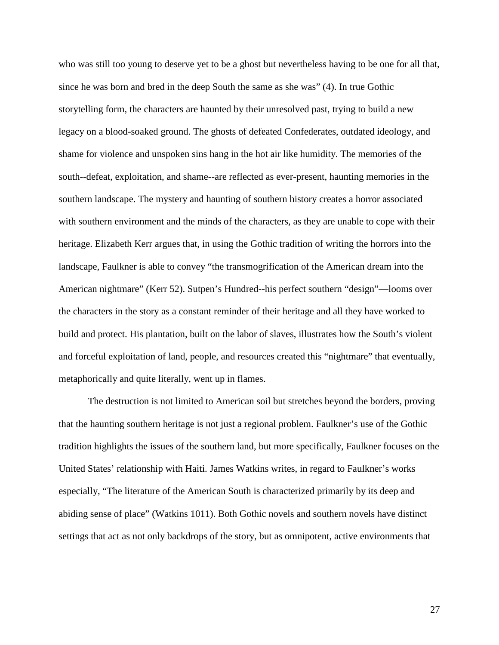who was still too young to deserve yet to be a ghost but nevertheless having to be one for all that, since he was born and bred in the deep South the same as she was" (4). In true Gothic storytelling form, the characters are haunted by their unresolved past, trying to build a new legacy on a blood-soaked ground. The ghosts of defeated Confederates, outdated ideology, and shame for violence and unspoken sins hang in the hot air like humidity. The memories of the south--defeat, exploitation, and shame--are reflected as ever-present, haunting memories in the southern landscape. The mystery and haunting of southern history creates a horror associated with southern environment and the minds of the characters, as they are unable to cope with their heritage. Elizabeth Kerr argues that, in using the Gothic tradition of writing the horrors into the landscape, Faulkner is able to convey "the transmogrification of the American dream into the American nightmare" (Kerr 52). Sutpen's Hundred--his perfect southern "design"—looms over the characters in the story as a constant reminder of their heritage and all they have worked to build and protect. His plantation, built on the labor of slaves, illustrates how the South's violent and forceful exploitation of land, people, and resources created this "nightmare" that eventually, metaphorically and quite literally, went up in flames.

The destruction is not limited to American soil but stretches beyond the borders, proving that the haunting southern heritage is not just a regional problem. Faulkner's use of the Gothic tradition highlights the issues of the southern land, but more specifically, Faulkner focuses on the United States' relationship with Haiti. James Watkins writes, in regard to Faulkner's works especially, "The literature of the American South is characterized primarily by its deep and abiding sense of place" (Watkins 1011). Both Gothic novels and southern novels have distinct settings that act as not only backdrops of the story, but as omnipotent, active environments that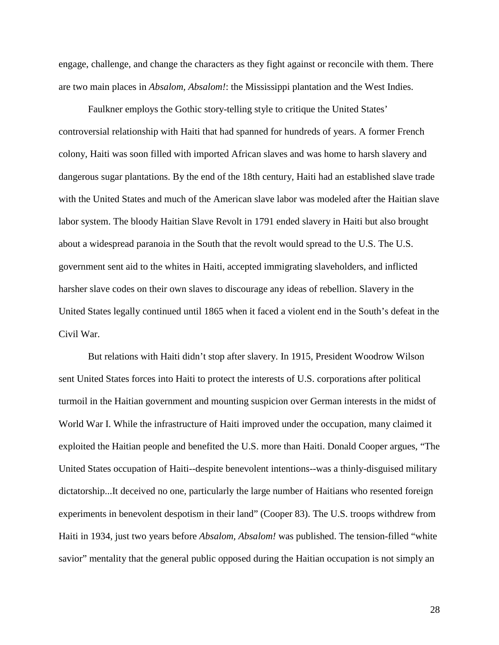engage, challenge, and change the characters as they fight against or reconcile with them. There are two main places in *Absalom, Absalom!*: the Mississippi plantation and the West Indies.

Faulkner employs the Gothic story-telling style to critique the United States' controversial relationship with Haiti that had spanned for hundreds of years. A former French colony, Haiti was soon filled with imported African slaves and was home to harsh slavery and dangerous sugar plantations. By the end of the 18th century, Haiti had an established slave trade with the United States and much of the American slave labor was modeled after the Haitian slave labor system. The bloody Haitian Slave Revolt in 1791 ended slavery in Haiti but also brought about a widespread paranoia in the South that the revolt would spread to the U.S. The U.S. government sent aid to the whites in Haiti, accepted immigrating slaveholders, and inflicted harsher slave codes on their own slaves to discourage any ideas of rebellion. Slavery in the United States legally continued until 1865 when it faced a violent end in the South's defeat in the Civil War.

But relations with Haiti didn't stop after slavery. In 1915, President Woodrow Wilson sent United States forces into Haiti to protect the interests of U.S. corporations after political turmoil in the Haitian government and mounting suspicion over German interests in the midst of World War I. While the infrastructure of Haiti improved under the occupation, many claimed it exploited the Haitian people and benefited the U.S. more than Haiti. Donald Cooper argues, "The United States occupation of Haiti--despite benevolent intentions--was a thinly-disguised military dictatorship...It deceived no one, particularly the large number of Haitians who resented foreign experiments in benevolent despotism in their land" (Cooper 83). The U.S. troops withdrew from Haiti in 1934, just two years before *Absalom, Absalom!* was published. The tension-filled "white savior" mentality that the general public opposed during the Haitian occupation is not simply an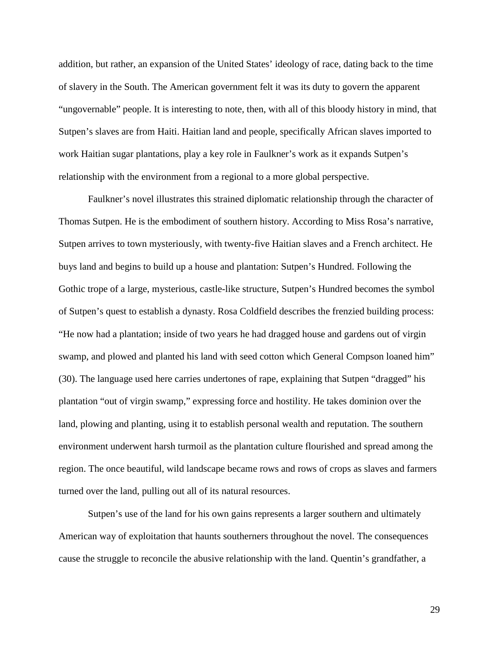addition, but rather, an expansion of the United States' ideology of race, dating back to the time of slavery in the South. The American government felt it was its duty to govern the apparent "ungovernable" people. It is interesting to note, then, with all of this bloody history in mind, that Sutpen's slaves are from Haiti. Haitian land and people, specifically African slaves imported to work Haitian sugar plantations, play a key role in Faulkner's work as it expands Sutpen's relationship with the environment from a regional to a more global perspective.

Faulkner's novel illustrates this strained diplomatic relationship through the character of Thomas Sutpen. He is the embodiment of southern history. According to Miss Rosa's narrative, Sutpen arrives to town mysteriously, with twenty-five Haitian slaves and a French architect. He buys land and begins to build up a house and plantation: Sutpen's Hundred. Following the Gothic trope of a large, mysterious, castle-like structure, Sutpen's Hundred becomes the symbol of Sutpen's quest to establish a dynasty. Rosa Coldfield describes the frenzied building process: "He now had a plantation; inside of two years he had dragged house and gardens out of virgin swamp, and plowed and planted his land with seed cotton which General Compson loaned him" (30). The language used here carries undertones of rape, explaining that Sutpen "dragged" his plantation "out of virgin swamp," expressing force and hostility. He takes dominion over the land, plowing and planting, using it to establish personal wealth and reputation. The southern environment underwent harsh turmoil as the plantation culture flourished and spread among the region. The once beautiful, wild landscape became rows and rows of crops as slaves and farmers turned over the land, pulling out all of its natural resources.

Sutpen's use of the land for his own gains represents a larger southern and ultimately American way of exploitation that haunts southerners throughout the novel. The consequences cause the struggle to reconcile the abusive relationship with the land. Quentin's grandfather, a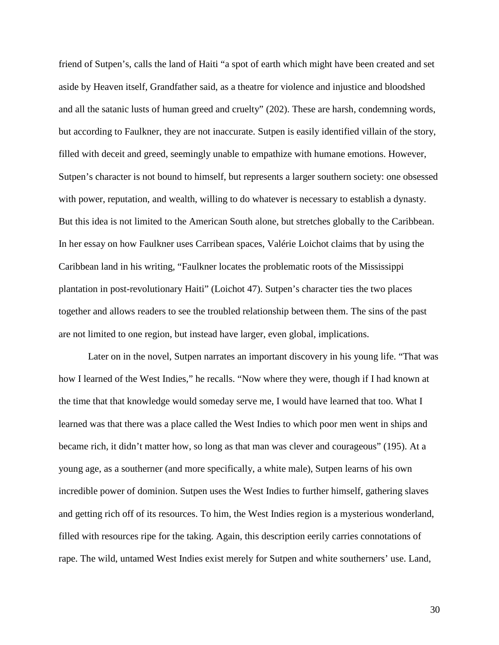friend of Sutpen's, calls the land of Haiti "a spot of earth which might have been created and set aside by Heaven itself, Grandfather said, as a theatre for violence and injustice and bloodshed and all the satanic lusts of human greed and cruelty" (202). These are harsh, condemning words, but according to Faulkner, they are not inaccurate. Sutpen is easily identified villain of the story, filled with deceit and greed, seemingly unable to empathize with humane emotions. However, Sutpen's character is not bound to himself, but represents a larger southern society: one obsessed with power, reputation, and wealth, willing to do whatever is necessary to establish a dynasty. But this idea is not limited to the American South alone, but stretches globally to the Caribbean. In her essay on how Faulkner uses Carribean spaces, Valérie Loichot claims that by using the Caribbean land in his writing, "Faulkner locates the problematic roots of the Mississippi plantation in post-revolutionary Haiti" (Loichot 47). Sutpen's character ties the two places together and allows readers to see the troubled relationship between them. The sins of the past are not limited to one region, but instead have larger, even global, implications.

Later on in the novel, Sutpen narrates an important discovery in his young life. "That was how I learned of the West Indies," he recalls. "Now where they were, though if I had known at the time that that knowledge would someday serve me, I would have learned that too. What I learned was that there was a place called the West Indies to which poor men went in ships and became rich, it didn't matter how, so long as that man was clever and courageous" (195). At a young age, as a southerner (and more specifically, a white male), Sutpen learns of his own incredible power of dominion. Sutpen uses the West Indies to further himself, gathering slaves and getting rich off of its resources. To him, the West Indies region is a mysterious wonderland, filled with resources ripe for the taking. Again, this description eerily carries connotations of rape. The wild, untamed West Indies exist merely for Sutpen and white southerners' use. Land,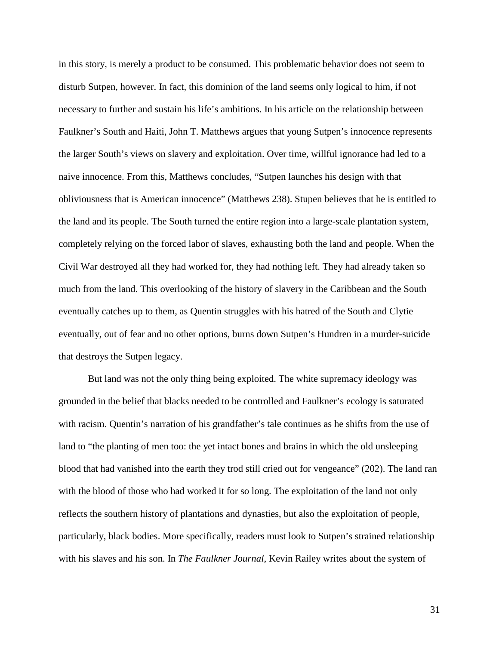in this story, is merely a product to be consumed. This problematic behavior does not seem to disturb Sutpen, however. In fact, this dominion of the land seems only logical to him, if not necessary to further and sustain his life's ambitions. In his article on the relationship between Faulkner's South and Haiti, John T. Matthews argues that young Sutpen's innocence represents the larger South's views on slavery and exploitation. Over time, willful ignorance had led to a naive innocence. From this, Matthews concludes, "Sutpen launches his design with that obliviousness that is American innocence" (Matthews 238). Stupen believes that he is entitled to the land and its people. The South turned the entire region into a large-scale plantation system, completely relying on the forced labor of slaves, exhausting both the land and people. When the Civil War destroyed all they had worked for, they had nothing left. They had already taken so much from the land. This overlooking of the history of slavery in the Caribbean and the South eventually catches up to them, as Quentin struggles with his hatred of the South and Clytie eventually, out of fear and no other options, burns down Sutpen's Hundren in a murder-suicide that destroys the Sutpen legacy.

But land was not the only thing being exploited. The white supremacy ideology was grounded in the belief that blacks needed to be controlled and Faulkner's ecology is saturated with racism. Quentin's narration of his grandfather's tale continues as he shifts from the use of land to "the planting of men too: the yet intact bones and brains in which the old unsleeping blood that had vanished into the earth they trod still cried out for vengeance" (202). The land ran with the blood of those who had worked it for so long. The exploitation of the land not only reflects the southern history of plantations and dynasties, but also the exploitation of people, particularly, black bodies. More specifically, readers must look to Sutpen's strained relationship with his slaves and his son. In *The Faulkner Journal*, Kevin Railey writes about the system of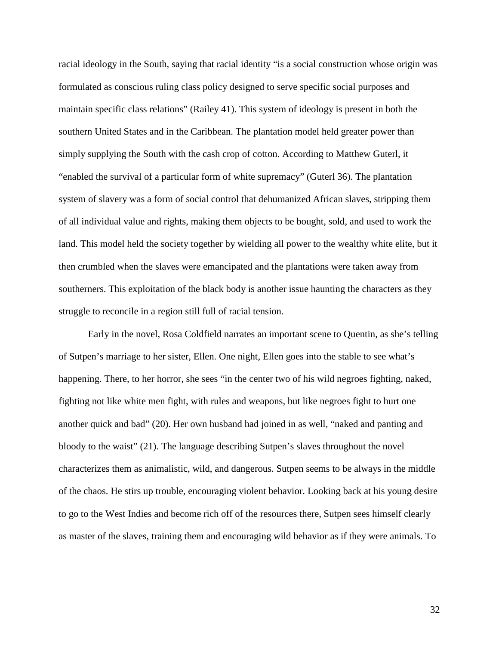racial ideology in the South, saying that racial identity "is a social construction whose origin was formulated as conscious ruling class policy designed to serve specific social purposes and maintain specific class relations" (Railey 41). This system of ideology is present in both the southern United States and in the Caribbean. The plantation model held greater power than simply supplying the South with the cash crop of cotton. According to Matthew Guterl, it "enabled the survival of a particular form of white supremacy" (Guterl 36). The plantation system of slavery was a form of social control that dehumanized African slaves, stripping them of all individual value and rights, making them objects to be bought, sold, and used to work the land. This model held the society together by wielding all power to the wealthy white elite, but it then crumbled when the slaves were emancipated and the plantations were taken away from southerners. This exploitation of the black body is another issue haunting the characters as they struggle to reconcile in a region still full of racial tension.

Early in the novel, Rosa Coldfield narrates an important scene to Quentin, as she's telling of Sutpen's marriage to her sister, Ellen. One night, Ellen goes into the stable to see what's happening. There, to her horror, she sees "in the center two of his wild negroes fighting, naked, fighting not like white men fight, with rules and weapons, but like negroes fight to hurt one another quick and bad" (20). Her own husband had joined in as well, "naked and panting and bloody to the waist" (21). The language describing Sutpen's slaves throughout the novel characterizes them as animalistic, wild, and dangerous. Sutpen seems to be always in the middle of the chaos. He stirs up trouble, encouraging violent behavior. Looking back at his young desire to go to the West Indies and become rich off of the resources there, Sutpen sees himself clearly as master of the slaves, training them and encouraging wild behavior as if they were animals. To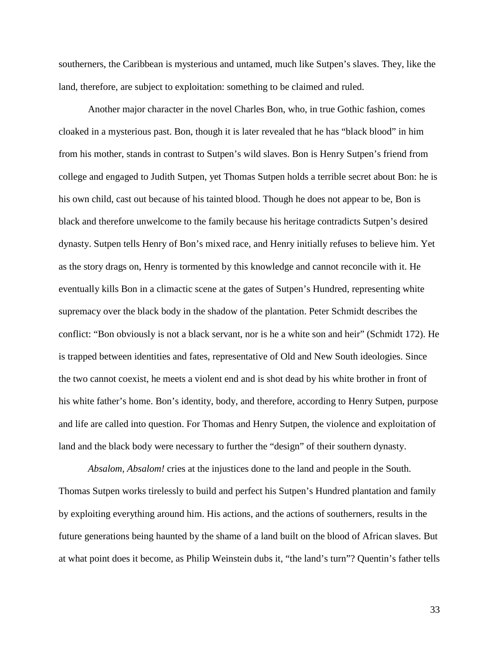southerners, the Caribbean is mysterious and untamed, much like Sutpen's slaves. They, like the land, therefore, are subject to exploitation: something to be claimed and ruled.

Another major character in the novel Charles Bon, who, in true Gothic fashion, comes cloaked in a mysterious past. Bon, though it is later revealed that he has "black blood" in him from his mother, stands in contrast to Sutpen's wild slaves. Bon is Henry Sutpen's friend from college and engaged to Judith Sutpen, yet Thomas Sutpen holds a terrible secret about Bon: he is his own child, cast out because of his tainted blood. Though he does not appear to be, Bon is black and therefore unwelcome to the family because his heritage contradicts Sutpen's desired dynasty. Sutpen tells Henry of Bon's mixed race, and Henry initially refuses to believe him. Yet as the story drags on, Henry is tormented by this knowledge and cannot reconcile with it. He eventually kills Bon in a climactic scene at the gates of Sutpen's Hundred, representing white supremacy over the black body in the shadow of the plantation. Peter Schmidt describes the conflict: "Bon obviously is not a black servant, nor is he a white son and heir" (Schmidt 172). He is trapped between identities and fates, representative of Old and New South ideologies. Since the two cannot coexist, he meets a violent end and is shot dead by his white brother in front of his white father's home. Bon's identity, body, and therefore, according to Henry Sutpen, purpose and life are called into question. For Thomas and Henry Sutpen, the violence and exploitation of land and the black body were necessary to further the "design" of their southern dynasty.

*Absalom, Absalom!* cries at the injustices done to the land and people in the South. Thomas Sutpen works tirelessly to build and perfect his Sutpen's Hundred plantation and family by exploiting everything around him. His actions, and the actions of southerners, results in the future generations being haunted by the shame of a land built on the blood of African slaves. But at what point does it become, as Philip Weinstein dubs it, "the land's turn"? Quentin's father tells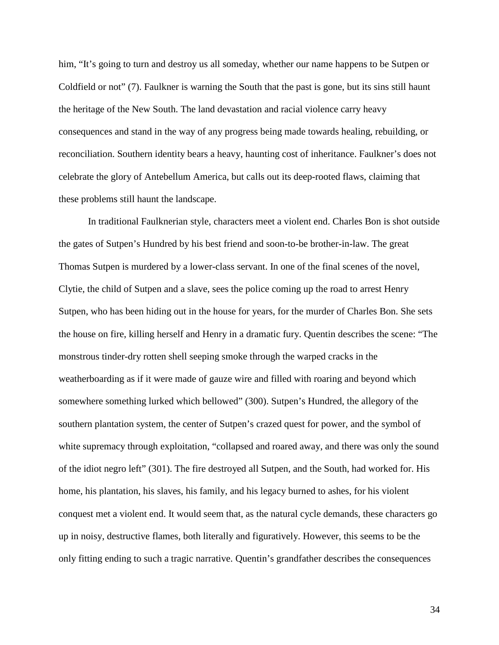him, "It's going to turn and destroy us all someday, whether our name happens to be Sutpen or Coldfield or not" (7). Faulkner is warning the South that the past is gone, but its sins still haunt the heritage of the New South. The land devastation and racial violence carry heavy consequences and stand in the way of any progress being made towards healing, rebuilding, or reconciliation. Southern identity bears a heavy, haunting cost of inheritance. Faulkner's does not celebrate the glory of Antebellum America, but calls out its deep-rooted flaws, claiming that these problems still haunt the landscape.

In traditional Faulknerian style, characters meet a violent end. Charles Bon is shot outside the gates of Sutpen's Hundred by his best friend and soon-to-be brother-in-law. The great Thomas Sutpen is murdered by a lower-class servant. In one of the final scenes of the novel, Clytie, the child of Sutpen and a slave, sees the police coming up the road to arrest Henry Sutpen, who has been hiding out in the house for years, for the murder of Charles Bon. She sets the house on fire, killing herself and Henry in a dramatic fury. Quentin describes the scene: "The monstrous tinder-dry rotten shell seeping smoke through the warped cracks in the weatherboarding as if it were made of gauze wire and filled with roaring and beyond which somewhere something lurked which bellowed" (300). Sutpen's Hundred, the allegory of the southern plantation system, the center of Sutpen's crazed quest for power, and the symbol of white supremacy through exploitation, "collapsed and roared away, and there was only the sound of the idiot negro left" (301). The fire destroyed all Sutpen, and the South, had worked for. His home, his plantation, his slaves, his family, and his legacy burned to ashes, for his violent conquest met a violent end. It would seem that, as the natural cycle demands, these characters go up in noisy, destructive flames, both literally and figuratively. However, this seems to be the only fitting ending to such a tragic narrative. Quentin's grandfather describes the consequences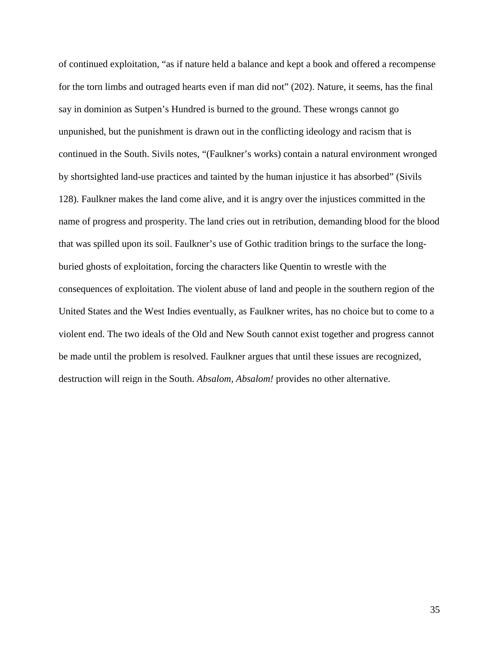of continued exploitation, "as if nature held a balance and kept a book and offered a recompense for the torn limbs and outraged hearts even if man did not" (202). Nature, it seems, has the final say in dominion as Sutpen's Hundred is burned to the ground. These wrongs cannot go unpunished, but the punishment is drawn out in the conflicting ideology and racism that is continued in the South. Sivils notes, "(Faulkner's works) contain a natural environment wronged by shortsighted land-use practices and tainted by the human injustice it has absorbed" (Sivils 128). Faulkner makes the land come alive, and it is angry over the injustices committed in the name of progress and prosperity. The land cries out in retribution, demanding blood for the blood that was spilled upon its soil. Faulkner's use of Gothic tradition brings to the surface the longburied ghosts of exploitation, forcing the characters like Quentin to wrestle with the consequences of exploitation. The violent abuse of land and people in the southern region of the United States and the West Indies eventually, as Faulkner writes, has no choice but to come to a violent end. The two ideals of the Old and New South cannot exist together and progress cannot be made until the problem is resolved. Faulkner argues that until these issues are recognized, destruction will reign in the South. *Absalom, Absalom!* provides no other alternative.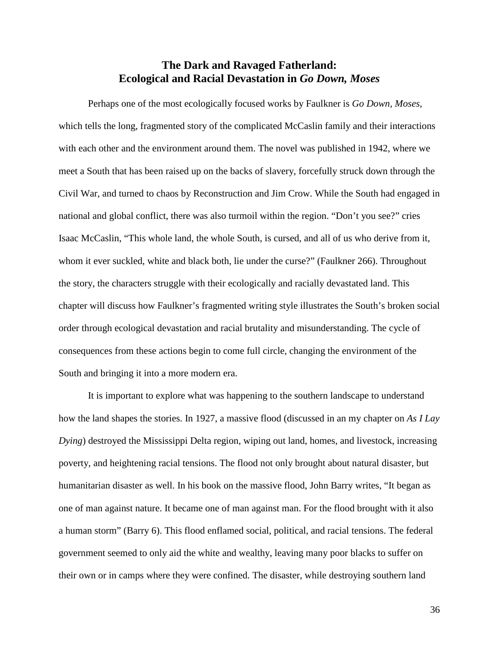### **The Dark and Ravaged Fatherland: Ecological and Racial Devastation in** *Go Down, Moses*

Perhaps one of the most ecologically focused works by Faulkner is *Go Down, Moses*, which tells the long, fragmented story of the complicated McCaslin family and their interactions with each other and the environment around them. The novel was published in 1942, where we meet a South that has been raised up on the backs of slavery, forcefully struck down through the Civil War, and turned to chaos by Reconstruction and Jim Crow. While the South had engaged in national and global conflict, there was also turmoil within the region. "Don't you see?" cries Isaac McCaslin, "This whole land, the whole South, is cursed, and all of us who derive from it, whom it ever suckled, white and black both, lie under the curse?" (Faulkner 266). Throughout the story, the characters struggle with their ecologically and racially devastated land. This chapter will discuss how Faulkner's fragmented writing style illustrates the South's broken social order through ecological devastation and racial brutality and misunderstanding. The cycle of consequences from these actions begin to come full circle, changing the environment of the South and bringing it into a more modern era.

It is important to explore what was happening to the southern landscape to understand how the land shapes the stories. In 1927, a massive flood (discussed in an my chapter on *As I Lay Dying*) destroyed the Mississippi Delta region, wiping out land, homes, and livestock, increasing poverty, and heightening racial tensions. The flood not only brought about natural disaster, but humanitarian disaster as well. In his book on the massive flood, John Barry writes, "It began as one of man against nature. It became one of man against man. For the flood brought with it also a human storm" (Barry 6). This flood enflamed social, political, and racial tensions. The federal government seemed to only aid the white and wealthy, leaving many poor blacks to suffer on their own or in camps where they were confined. The disaster, while destroying southern land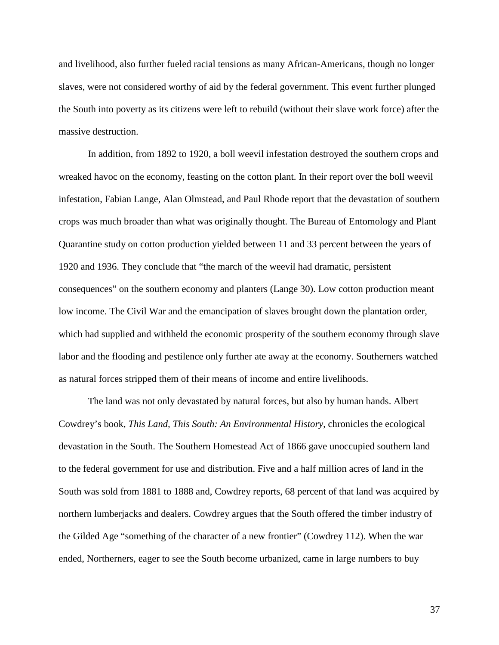and livelihood, also further fueled racial tensions as many African-Americans, though no longer slaves, were not considered worthy of aid by the federal government. This event further plunged the South into poverty as its citizens were left to rebuild (without their slave work force) after the massive destruction.

In addition, from 1892 to 1920, a boll weevil infestation destroyed the southern crops and wreaked havoc on the economy, feasting on the cotton plant. In their report over the boll weevil infestation, Fabian Lange, Alan Olmstead, and Paul Rhode report that the devastation of southern crops was much broader than what was originally thought. The Bureau of Entomology and Plant Quarantine study on cotton production yielded between 11 and 33 percent between the years of 1920 and 1936. They conclude that "the march of the weevil had dramatic, persistent consequences" on the southern economy and planters (Lange 30). Low cotton production meant low income. The Civil War and the emancipation of slaves brought down the plantation order, which had supplied and withheld the economic prosperity of the southern economy through slave labor and the flooding and pestilence only further ate away at the economy. Southerners watched as natural forces stripped them of their means of income and entire livelihoods.

The land was not only devastated by natural forces, but also by human hands. Albert Cowdrey's book, *This Land, This South: An Environmental History*, chronicles the ecological devastation in the South. The Southern Homestead Act of 1866 gave unoccupied southern land to the federal government for use and distribution. Five and a half million acres of land in the South was sold from 1881 to 1888 and, Cowdrey reports, 68 percent of that land was acquired by northern lumberjacks and dealers. Cowdrey argues that the South offered the timber industry of the Gilded Age "something of the character of a new frontier" (Cowdrey 112). When the war ended, Northerners, eager to see the South become urbanized, came in large numbers to buy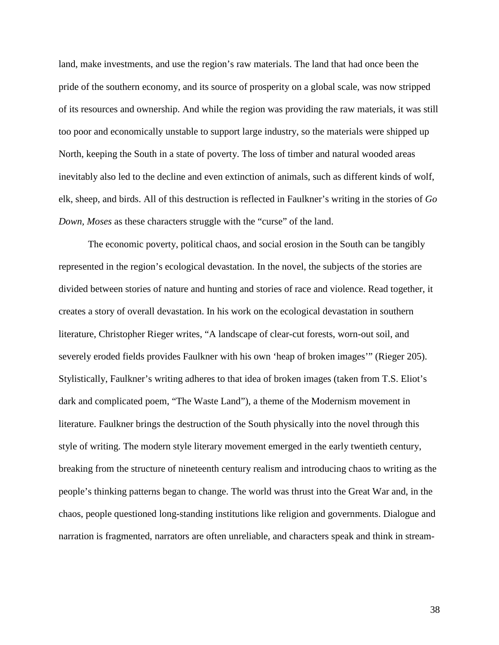land, make investments, and use the region's raw materials. The land that had once been the pride of the southern economy, and its source of prosperity on a global scale, was now stripped of its resources and ownership. And while the region was providing the raw materials, it was still too poor and economically unstable to support large industry, so the materials were shipped up North, keeping the South in a state of poverty. The loss of timber and natural wooded areas inevitably also led to the decline and even extinction of animals, such as different kinds of wolf, elk, sheep, and birds. All of this destruction is reflected in Faulkner's writing in the stories of *Go Down, Moses* as these characters struggle with the "curse" of the land.

The economic poverty, political chaos, and social erosion in the South can be tangibly represented in the region's ecological devastation. In the novel, the subjects of the stories are divided between stories of nature and hunting and stories of race and violence. Read together, it creates a story of overall devastation. In his work on the ecological devastation in southern literature, Christopher Rieger writes, "A landscape of clear-cut forests, worn-out soil, and severely eroded fields provides Faulkner with his own 'heap of broken images'" (Rieger 205). Stylistically, Faulkner's writing adheres to that idea of broken images (taken from T.S. Eliot's dark and complicated poem, "The Waste Land"), a theme of the Modernism movement in literature. Faulkner brings the destruction of the South physically into the novel through this style of writing. The modern style literary movement emerged in the early twentieth century, breaking from the structure of nineteenth century realism and introducing chaos to writing as the people's thinking patterns began to change. The world was thrust into the Great War and, in the chaos, people questioned long-standing institutions like religion and governments. Dialogue and narration is fragmented, narrators are often unreliable, and characters speak and think in stream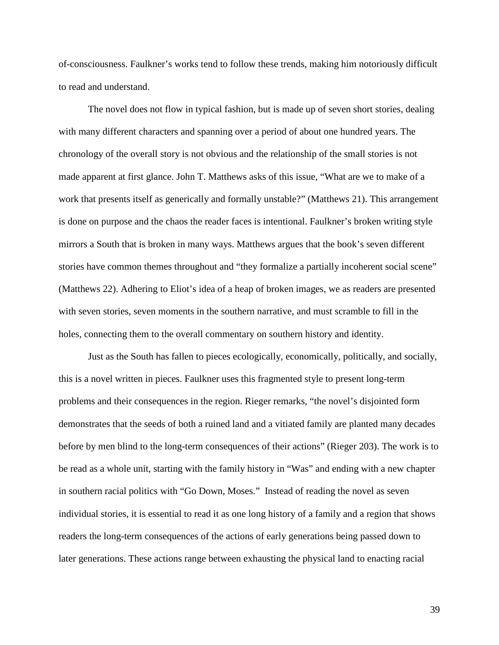of-consciousness. Faulkner's works tend to follow these trends, making him notoriously difficult to read and understand.

The novel does not flow in typical fashion, but is made up of seven short stories, dealing with many different characters and spanning over a period of about one hundred years. The chronology of the overall story is not obvious and the relationship of the small stories is not made apparent at first glance. John T. Matthews asks of this issue, "What are we to make of a work that presents itself as generically and formally unstable?" (Matthews 21). This arrangement is done on purpose and the chaos the reader faces is intentional. Faulkner's broken writing style mirrors a South that is broken in many ways. Matthews argues that the book's seven different stories have common themes throughout and "they formalize a partially incoherent social scene" (Matthews 22). Adhering to Eliot's idea of a heap of broken images, we as readers are presented with seven stories, seven moments in the southern narrative, and must scramble to fill in the holes, connecting them to the overall commentary on southern history and identity.

Just as the South has fallen to pieces ecologically, economically, politically, and socially, this is a novel written in pieces. Faulkner uses this fragmented style to present long-term problems and their consequences in the region. Rieger remarks, "the novel's disjointed form demonstrates that the seeds of both a ruined land and a vitiated family are planted many decades before by men blind to the long-term consequences of their actions" (Rieger 203). The work is to be read as a whole unit, starting with the family history in "Was" and ending with a new chapter in southern racial politics with "Go Down, Moses." Instead of reading the novel as seven individual stories, it is essential to read it as one long history of a family and a region that shows readers the long-term consequences of the actions of early generations being passed down to later generations. These actions range between exhausting the physical land to enacting racial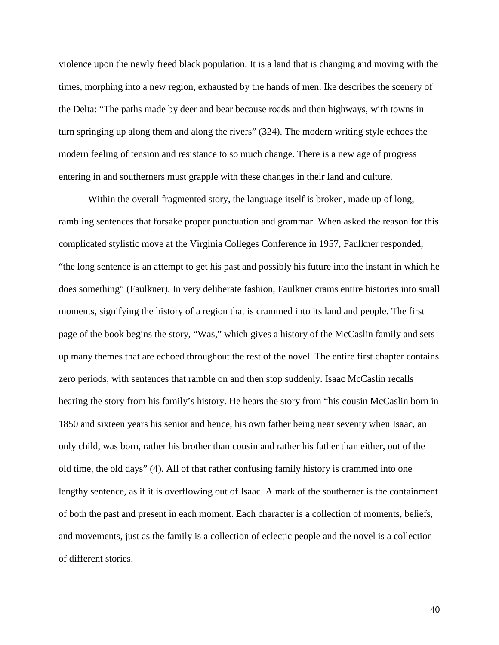violence upon the newly freed black population. It is a land that is changing and moving with the times, morphing into a new region, exhausted by the hands of men. Ike describes the scenery of the Delta: "The paths made by deer and bear because roads and then highways, with towns in turn springing up along them and along the rivers" (324). The modern writing style echoes the modern feeling of tension and resistance to so much change. There is a new age of progress entering in and southerners must grapple with these changes in their land and culture.

Within the overall fragmented story, the language itself is broken, made up of long, rambling sentences that forsake proper punctuation and grammar. When asked the reason for this complicated stylistic move at the Virginia Colleges Conference in 1957, Faulkner responded, "the long sentence is an attempt to get his past and possibly his future into the instant in which he does something" (Faulkner). In very deliberate fashion, Faulkner crams entire histories into small moments, signifying the history of a region that is crammed into its land and people. The first page of the book begins the story, "Was," which gives a history of the McCaslin family and sets up many themes that are echoed throughout the rest of the novel. The entire first chapter contains zero periods, with sentences that ramble on and then stop suddenly. Isaac McCaslin recalls hearing the story from his family's history. He hears the story from "his cousin McCaslin born in 1850 and sixteen years his senior and hence, his own father being near seventy when Isaac, an only child, was born, rather his brother than cousin and rather his father than either, out of the old time, the old days" (4). All of that rather confusing family history is crammed into one lengthy sentence, as if it is overflowing out of Isaac. A mark of the southerner is the containment of both the past and present in each moment. Each character is a collection of moments, beliefs, and movements, just as the family is a collection of eclectic people and the novel is a collection of different stories.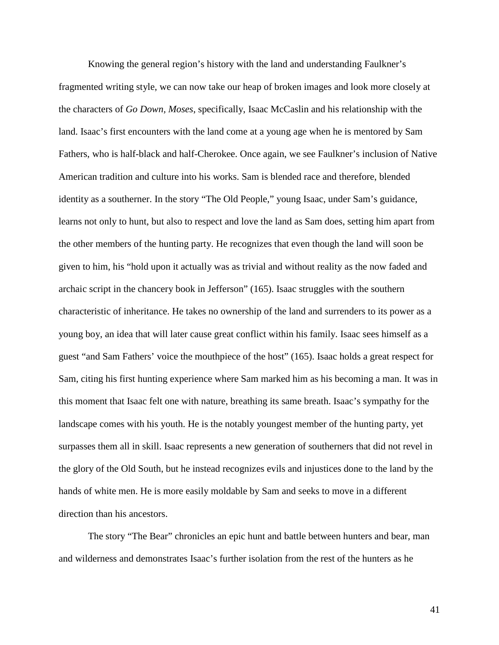Knowing the general region's history with the land and understanding Faulkner's fragmented writing style, we can now take our heap of broken images and look more closely at the characters of *Go Down, Moses*, specifically, Isaac McCaslin and his relationship with the land. Isaac's first encounters with the land come at a young age when he is mentored by Sam Fathers, who is half-black and half-Cherokee. Once again, we see Faulkner's inclusion of Native American tradition and culture into his works. Sam is blended race and therefore, blended identity as a southerner. In the story "The Old People," young Isaac, under Sam's guidance, learns not only to hunt, but also to respect and love the land as Sam does, setting him apart from the other members of the hunting party. He recognizes that even though the land will soon be given to him, his "hold upon it actually was as trivial and without reality as the now faded and archaic script in the chancery book in Jefferson" (165). Isaac struggles with the southern characteristic of inheritance. He takes no ownership of the land and surrenders to its power as a young boy, an idea that will later cause great conflict within his family. Isaac sees himself as a guest "and Sam Fathers' voice the mouthpiece of the host" (165). Isaac holds a great respect for Sam, citing his first hunting experience where Sam marked him as his becoming a man. It was in this moment that Isaac felt one with nature, breathing its same breath. Isaac's sympathy for the landscape comes with his youth. He is the notably youngest member of the hunting party, yet surpasses them all in skill. Isaac represents a new generation of southerners that did not revel in the glory of the Old South, but he instead recognizes evils and injustices done to the land by the hands of white men. He is more easily moldable by Sam and seeks to move in a different direction than his ancestors.

The story "The Bear" chronicles an epic hunt and battle between hunters and bear, man and wilderness and demonstrates Isaac's further isolation from the rest of the hunters as he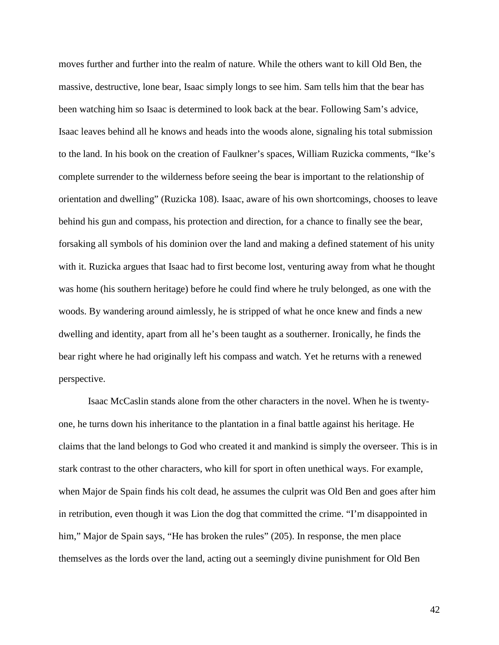moves further and further into the realm of nature. While the others want to kill Old Ben, the massive, destructive, lone bear, Isaac simply longs to see him. Sam tells him that the bear has been watching him so Isaac is determined to look back at the bear. Following Sam's advice, Isaac leaves behind all he knows and heads into the woods alone, signaling his total submission to the land. In his book on the creation of Faulkner's spaces, William Ruzicka comments, "Ike's complete surrender to the wilderness before seeing the bear is important to the relationship of orientation and dwelling" (Ruzicka 108). Isaac, aware of his own shortcomings, chooses to leave behind his gun and compass, his protection and direction, for a chance to finally see the bear, forsaking all symbols of his dominion over the land and making a defined statement of his unity with it. Ruzicka argues that Isaac had to first become lost, venturing away from what he thought was home (his southern heritage) before he could find where he truly belonged, as one with the woods. By wandering around aimlessly, he is stripped of what he once knew and finds a new dwelling and identity, apart from all he's been taught as a southerner. Ironically, he finds the bear right where he had originally left his compass and watch. Yet he returns with a renewed perspective.

Isaac McCaslin stands alone from the other characters in the novel. When he is twentyone, he turns down his inheritance to the plantation in a final battle against his heritage. He claims that the land belongs to God who created it and mankind is simply the overseer. This is in stark contrast to the other characters, who kill for sport in often unethical ways. For example, when Major de Spain finds his colt dead, he assumes the culprit was Old Ben and goes after him in retribution, even though it was Lion the dog that committed the crime. "I'm disappointed in him," Major de Spain says, "He has broken the rules" (205). In response, the men place themselves as the lords over the land, acting out a seemingly divine punishment for Old Ben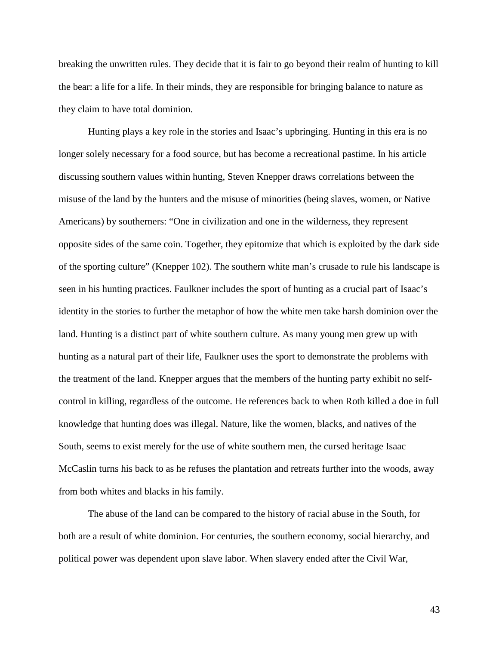breaking the unwritten rules. They decide that it is fair to go beyond their realm of hunting to kill the bear: a life for a life. In their minds, they are responsible for bringing balance to nature as they claim to have total dominion.

Hunting plays a key role in the stories and Isaac's upbringing. Hunting in this era is no longer solely necessary for a food source, but has become a recreational pastime. In his article discussing southern values within hunting, Steven Knepper draws correlations between the misuse of the land by the hunters and the misuse of minorities (being slaves, women, or Native Americans) by southerners: "One in civilization and one in the wilderness, they represent opposite sides of the same coin. Together, they epitomize that which is exploited by the dark side of the sporting culture" (Knepper 102). The southern white man's crusade to rule his landscape is seen in his hunting practices. Faulkner includes the sport of hunting as a crucial part of Isaac's identity in the stories to further the metaphor of how the white men take harsh dominion over the land. Hunting is a distinct part of white southern culture. As many young men grew up with hunting as a natural part of their life, Faulkner uses the sport to demonstrate the problems with the treatment of the land. Knepper argues that the members of the hunting party exhibit no selfcontrol in killing, regardless of the outcome. He references back to when Roth killed a doe in full knowledge that hunting does was illegal. Nature, like the women, blacks, and natives of the South, seems to exist merely for the use of white southern men, the cursed heritage Isaac McCaslin turns his back to as he refuses the plantation and retreats further into the woods, away from both whites and blacks in his family.

The abuse of the land can be compared to the history of racial abuse in the South, for both are a result of white dominion. For centuries, the southern economy, social hierarchy, and political power was dependent upon slave labor. When slavery ended after the Civil War,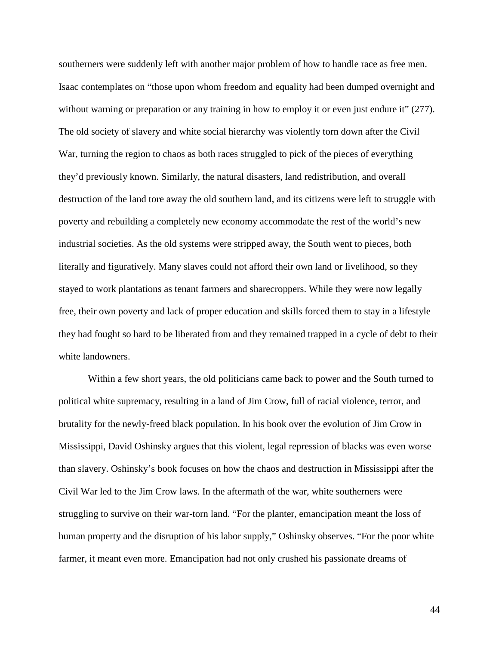southerners were suddenly left with another major problem of how to handle race as free men. Isaac contemplates on "those upon whom freedom and equality had been dumped overnight and without warning or preparation or any training in how to employ it or even just endure it" (277). The old society of slavery and white social hierarchy was violently torn down after the Civil War, turning the region to chaos as both races struggled to pick of the pieces of everything they'd previously known. Similarly, the natural disasters, land redistribution, and overall destruction of the land tore away the old southern land, and its citizens were left to struggle with poverty and rebuilding a completely new economy accommodate the rest of the world's new industrial societies. As the old systems were stripped away, the South went to pieces, both literally and figuratively. Many slaves could not afford their own land or livelihood, so they stayed to work plantations as tenant farmers and sharecroppers. While they were now legally free, their own poverty and lack of proper education and skills forced them to stay in a lifestyle they had fought so hard to be liberated from and they remained trapped in a cycle of debt to their white landowners.

Within a few short years, the old politicians came back to power and the South turned to political white supremacy, resulting in a land of Jim Crow, full of racial violence, terror, and brutality for the newly-freed black population. In his book over the evolution of Jim Crow in Mississippi, David Oshinsky argues that this violent, legal repression of blacks was even worse than slavery. Oshinsky's book focuses on how the chaos and destruction in Mississippi after the Civil War led to the Jim Crow laws. In the aftermath of the war, white southerners were struggling to survive on their war-torn land. "For the planter, emancipation meant the loss of human property and the disruption of his labor supply," Oshinsky observes. "For the poor white farmer, it meant even more. Emancipation had not only crushed his passionate dreams of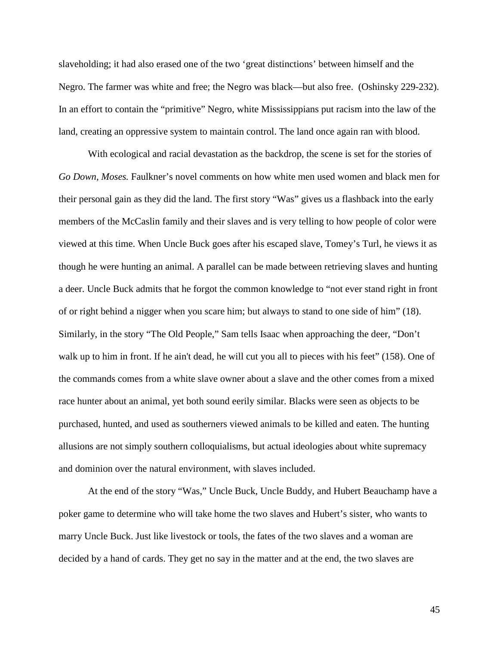slaveholding; it had also erased one of the two 'great distinctions' between himself and the Negro. The farmer was white and free; the Negro was black—but also free. (Oshinsky 229-232). In an effort to contain the "primitive" Negro, white Mississippians put racism into the law of the land, creating an oppressive system to maintain control. The land once again ran with blood.

With ecological and racial devastation as the backdrop, the scene is set for the stories of *Go Down, Moses.* Faulkner's novel comments on how white men used women and black men for their personal gain as they did the land. The first story "Was" gives us a flashback into the early members of the McCaslin family and their slaves and is very telling to how people of color were viewed at this time. When Uncle Buck goes after his escaped slave, Tomey's Turl, he views it as though he were hunting an animal. A parallel can be made between retrieving slaves and hunting a deer. Uncle Buck admits that he forgot the common knowledge to "not ever stand right in front of or right behind a nigger when you scare him; but always to stand to one side of him" (18). Similarly, in the story "The Old People," Sam tells Isaac when approaching the deer, "Don't walk up to him in front. If he ain't dead, he will cut you all to pieces with his feet" (158). One of the commands comes from a white slave owner about a slave and the other comes from a mixed race hunter about an animal, yet both sound eerily similar. Blacks were seen as objects to be purchased, hunted, and used as southerners viewed animals to be killed and eaten. The hunting allusions are not simply southern colloquialisms, but actual ideologies about white supremacy and dominion over the natural environment, with slaves included.

At the end of the story "Was," Uncle Buck, Uncle Buddy, and Hubert Beauchamp have a poker game to determine who will take home the two slaves and Hubert's sister, who wants to marry Uncle Buck. Just like livestock or tools, the fates of the two slaves and a woman are decided by a hand of cards. They get no say in the matter and at the end, the two slaves are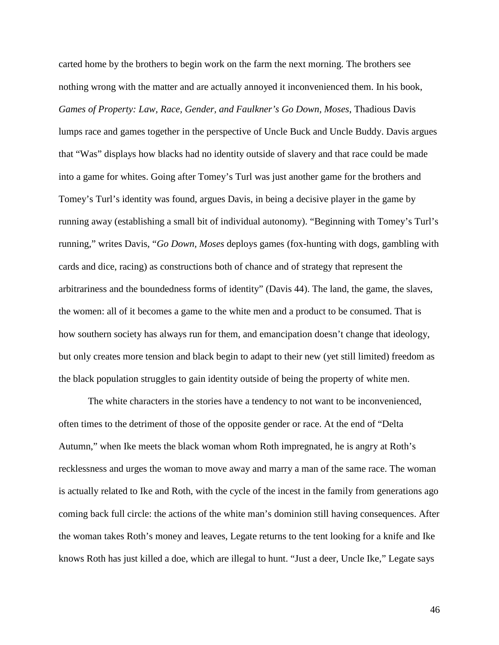carted home by the brothers to begin work on the farm the next morning. The brothers see nothing wrong with the matter and are actually annoyed it inconvenienced them. In his book, *Games of Property: Law, Race, Gender, and Faulkner's Go Down, Moses*, Thadious Davis lumps race and games together in the perspective of Uncle Buck and Uncle Buddy. Davis argues that "Was" displays how blacks had no identity outside of slavery and that race could be made into a game for whites. Going after Tomey's Turl was just another game for the brothers and Tomey's Turl's identity was found, argues Davis, in being a decisive player in the game by running away (establishing a small bit of individual autonomy). "Beginning with Tomey's Turl's running," writes Davis, "*Go Down, Moses* deploys games (fox-hunting with dogs, gambling with cards and dice, racing) as constructions both of chance and of strategy that represent the arbitrariness and the boundedness forms of identity" (Davis 44). The land, the game, the slaves, the women: all of it becomes a game to the white men and a product to be consumed. That is how southern society has always run for them, and emancipation doesn't change that ideology, but only creates more tension and black begin to adapt to their new (yet still limited) freedom as the black population struggles to gain identity outside of being the property of white men.

The white characters in the stories have a tendency to not want to be inconvenienced, often times to the detriment of those of the opposite gender or race. At the end of "Delta Autumn," when Ike meets the black woman whom Roth impregnated, he is angry at Roth's recklessness and urges the woman to move away and marry a man of the same race. The woman is actually related to Ike and Roth, with the cycle of the incest in the family from generations ago coming back full circle: the actions of the white man's dominion still having consequences. After the woman takes Roth's money and leaves, Legate returns to the tent looking for a knife and Ike knows Roth has just killed a doe, which are illegal to hunt. "Just a deer, Uncle Ike," Legate says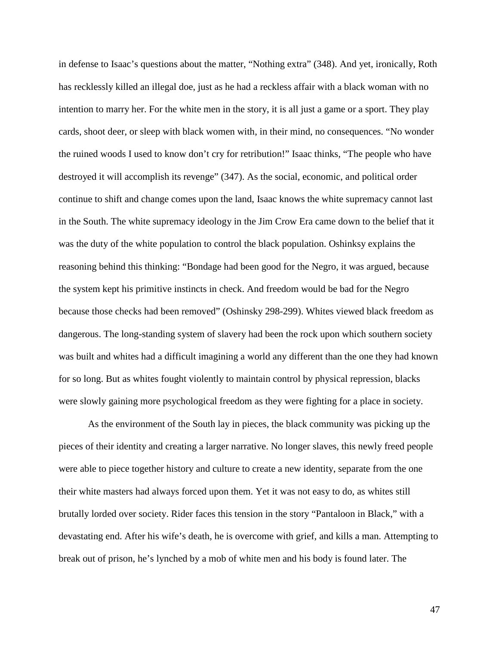in defense to Isaac's questions about the matter, "Nothing extra" (348). And yet, ironically, Roth has recklessly killed an illegal doe, just as he had a reckless affair with a black woman with no intention to marry her. For the white men in the story, it is all just a game or a sport. They play cards, shoot deer, or sleep with black women with, in their mind, no consequences. "No wonder the ruined woods I used to know don't cry for retribution!" Isaac thinks, "The people who have destroyed it will accomplish its revenge" (347). As the social, economic, and political order continue to shift and change comes upon the land, Isaac knows the white supremacy cannot last in the South. The white supremacy ideology in the Jim Crow Era came down to the belief that it was the duty of the white population to control the black population. Oshinksy explains the reasoning behind this thinking: "Bondage had been good for the Negro, it was argued, because the system kept his primitive instincts in check. And freedom would be bad for the Negro because those checks had been removed" (Oshinsky 298-299). Whites viewed black freedom as dangerous. The long-standing system of slavery had been the rock upon which southern society was built and whites had a difficult imagining a world any different than the one they had known for so long. But as whites fought violently to maintain control by physical repression, blacks were slowly gaining more psychological freedom as they were fighting for a place in society.

As the environment of the South lay in pieces, the black community was picking up the pieces of their identity and creating a larger narrative. No longer slaves, this newly freed people were able to piece together history and culture to create a new identity, separate from the one their white masters had always forced upon them. Yet it was not easy to do, as whites still brutally lorded over society. Rider faces this tension in the story "Pantaloon in Black," with a devastating end. After his wife's death, he is overcome with grief, and kills a man. Attempting to break out of prison, he's lynched by a mob of white men and his body is found later. The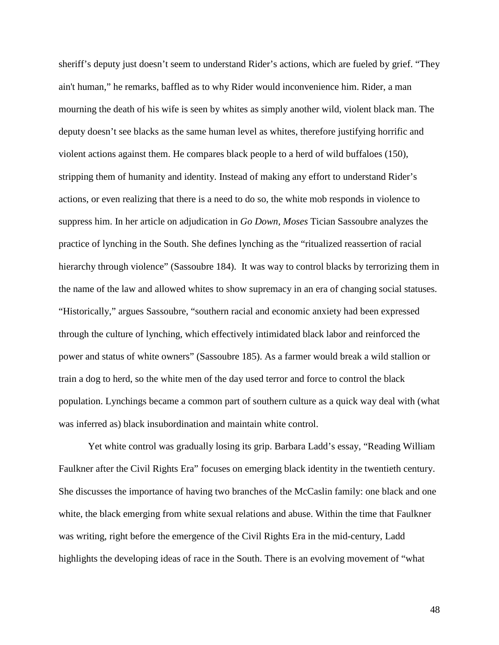sheriff's deputy just doesn't seem to understand Rider's actions, which are fueled by grief. "They ain't human," he remarks, baffled as to why Rider would inconvenience him. Rider, a man mourning the death of his wife is seen by whites as simply another wild, violent black man. The deputy doesn't see blacks as the same human level as whites, therefore justifying horrific and violent actions against them. He compares black people to a herd of wild buffaloes (150), stripping them of humanity and identity. Instead of making any effort to understand Rider's actions, or even realizing that there is a need to do so, the white mob responds in violence to suppress him. In her article on adjudication in *Go Down, Moses* Tician Sassoubre analyzes the practice of lynching in the South. She defines lynching as the "ritualized reassertion of racial hierarchy through violence" (Sassoubre 184). It was way to control blacks by terrorizing them in the name of the law and allowed whites to show supremacy in an era of changing social statuses. "Historically," argues Sassoubre, "southern racial and economic anxiety had been expressed through the culture of lynching, which effectively intimidated black labor and reinforced the power and status of white owners" (Sassoubre 185). As a farmer would break a wild stallion or train a dog to herd, so the white men of the day used terror and force to control the black population. Lynchings became a common part of southern culture as a quick way deal with (what was inferred as) black insubordination and maintain white control.

Yet white control was gradually losing its grip. Barbara Ladd's essay, "Reading William Faulkner after the Civil Rights Era" focuses on emerging black identity in the twentieth century. She discusses the importance of having two branches of the McCaslin family: one black and one white, the black emerging from white sexual relations and abuse. Within the time that Faulkner was writing, right before the emergence of the Civil Rights Era in the mid-century, Ladd highlights the developing ideas of race in the South. There is an evolving movement of "what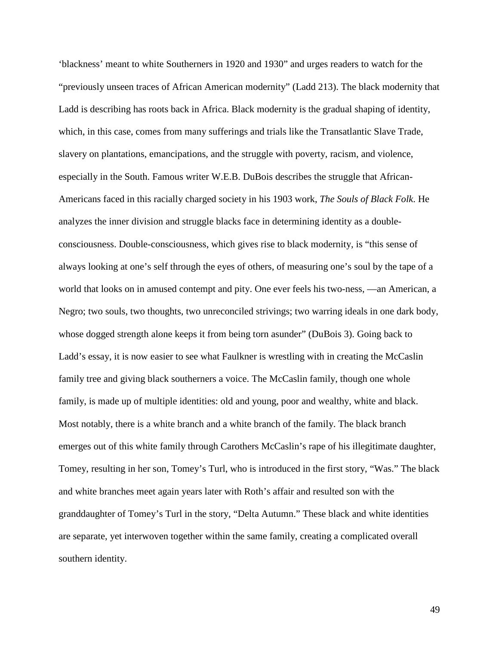'blackness' meant to white Southerners in 1920 and 1930" and urges readers to watch for the "previously unseen traces of African American modernity" (Ladd 213). The black modernity that Ladd is describing has roots back in Africa. Black modernity is the gradual shaping of identity, which, in this case, comes from many sufferings and trials like the Transatlantic Slave Trade, slavery on plantations, emancipations, and the struggle with poverty, racism, and violence, especially in the South. Famous writer W.E.B. DuBois describes the struggle that African-Americans faced in this racially charged society in his 1903 work, *The Souls of Black Folk*. He analyzes the inner division and struggle blacks face in determining identity as a doubleconsciousness. Double-consciousness, which gives rise to black modernity, is "this sense of always looking at one's self through the eyes of others, of measuring one's soul by the tape of a world that looks on in amused contempt and pity. One ever feels his two-ness, —an American, a Negro; two souls, two thoughts, two unreconciled strivings; two warring ideals in one dark body, whose dogged strength alone keeps it from being torn asunder" (DuBois 3). Going back to Ladd's essay, it is now easier to see what Faulkner is wrestling with in creating the McCaslin family tree and giving black southerners a voice. The McCaslin family, though one whole family, is made up of multiple identities: old and young, poor and wealthy, white and black. Most notably, there is a white branch and a white branch of the family. The black branch emerges out of this white family through Carothers McCaslin's rape of his illegitimate daughter, Tomey, resulting in her son, Tomey's Turl, who is introduced in the first story, "Was." The black and white branches meet again years later with Roth's affair and resulted son with the granddaughter of Tomey's Turl in the story, "Delta Autumn." These black and white identities are separate, yet interwoven together within the same family, creating a complicated overall southern identity.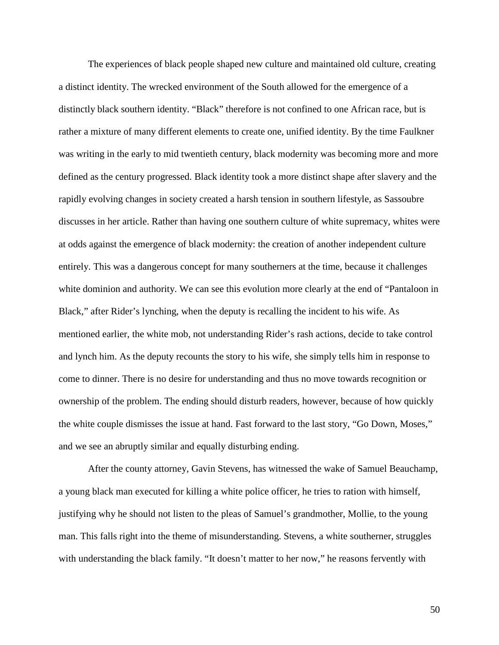The experiences of black people shaped new culture and maintained old culture, creating a distinct identity. The wrecked environment of the South allowed for the emergence of a distinctly black southern identity. "Black" therefore is not confined to one African race, but is rather a mixture of many different elements to create one, unified identity. By the time Faulkner was writing in the early to mid twentieth century, black modernity was becoming more and more defined as the century progressed. Black identity took a more distinct shape after slavery and the rapidly evolving changes in society created a harsh tension in southern lifestyle, as Sassoubre discusses in her article. Rather than having one southern culture of white supremacy, whites were at odds against the emergence of black modernity: the creation of another independent culture entirely. This was a dangerous concept for many southerners at the time, because it challenges white dominion and authority. We can see this evolution more clearly at the end of "Pantaloon in Black," after Rider's lynching, when the deputy is recalling the incident to his wife. As mentioned earlier, the white mob, not understanding Rider's rash actions, decide to take control and lynch him. As the deputy recounts the story to his wife, she simply tells him in response to come to dinner. There is no desire for understanding and thus no move towards recognition or ownership of the problem. The ending should disturb readers, however, because of how quickly the white couple dismisses the issue at hand. Fast forward to the last story, "Go Down, Moses," and we see an abruptly similar and equally disturbing ending.

After the county attorney, Gavin Stevens, has witnessed the wake of Samuel Beauchamp, a young black man executed for killing a white police officer, he tries to ration with himself, justifying why he should not listen to the pleas of Samuel's grandmother, Mollie, to the young man. This falls right into the theme of misunderstanding. Stevens, a white southerner, struggles with understanding the black family. "It doesn't matter to her now," he reasons fervently with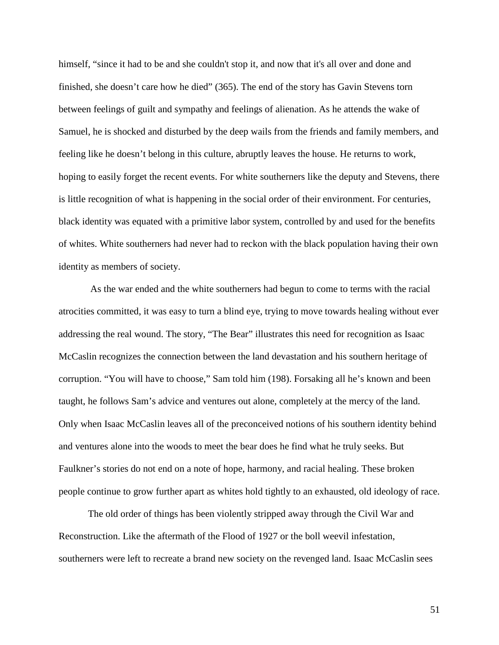himself, "since it had to be and she couldn't stop it, and now that it's all over and done and finished, she doesn't care how he died" (365). The end of the story has Gavin Stevens torn between feelings of guilt and sympathy and feelings of alienation. As he attends the wake of Samuel, he is shocked and disturbed by the deep wails from the friends and family members, and feeling like he doesn't belong in this culture, abruptly leaves the house. He returns to work, hoping to easily forget the recent events. For white southerners like the deputy and Stevens, there is little recognition of what is happening in the social order of their environment. For centuries, black identity was equated with a primitive labor system, controlled by and used for the benefits of whites. White southerners had never had to reckon with the black population having their own identity as members of society.

As the war ended and the white southerners had begun to come to terms with the racial atrocities committed, it was easy to turn a blind eye, trying to move towards healing without ever addressing the real wound. The story, "The Bear" illustrates this need for recognition as Isaac McCaslin recognizes the connection between the land devastation and his southern heritage of corruption. "You will have to choose," Sam told him (198). Forsaking all he's known and been taught, he follows Sam's advice and ventures out alone, completely at the mercy of the land. Only when Isaac McCaslin leaves all of the preconceived notions of his southern identity behind and ventures alone into the woods to meet the bear does he find what he truly seeks. But Faulkner's stories do not end on a note of hope, harmony, and racial healing. These broken people continue to grow further apart as whites hold tightly to an exhausted, old ideology of race.

The old order of things has been violently stripped away through the Civil War and Reconstruction. Like the aftermath of the Flood of 1927 or the boll weevil infestation, southerners were left to recreate a brand new society on the revenged land. Isaac McCaslin sees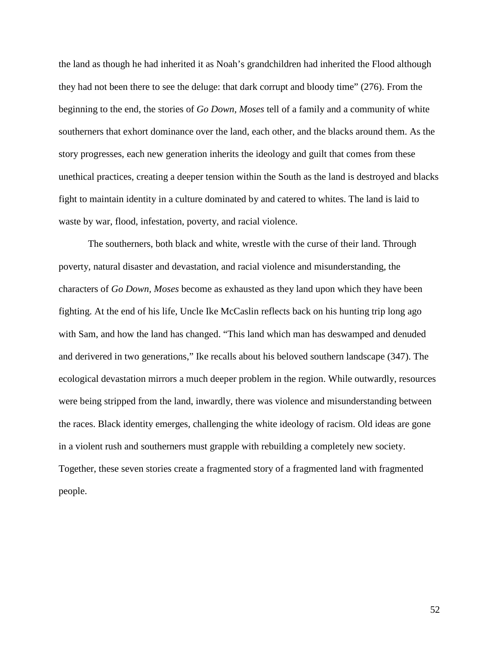the land as though he had inherited it as Noah's grandchildren had inherited the Flood although they had not been there to see the deluge: that dark corrupt and bloody time" (276). From the beginning to the end, the stories of *Go Down, Moses* tell of a family and a community of white southerners that exhort dominance over the land, each other, and the blacks around them. As the story progresses, each new generation inherits the ideology and guilt that comes from these unethical practices, creating a deeper tension within the South as the land is destroyed and blacks fight to maintain identity in a culture dominated by and catered to whites. The land is laid to waste by war, flood, infestation, poverty, and racial violence.

The southerners, both black and white, wrestle with the curse of their land. Through poverty, natural disaster and devastation, and racial violence and misunderstanding, the characters of *Go Down, Moses* become as exhausted as they land upon which they have been fighting. At the end of his life, Uncle Ike McCaslin reflects back on his hunting trip long ago with Sam, and how the land has changed. "This land which man has deswamped and denuded and derivered in two generations," Ike recalls about his beloved southern landscape (347). The ecological devastation mirrors a much deeper problem in the region. While outwardly, resources were being stripped from the land, inwardly, there was violence and misunderstanding between the races. Black identity emerges, challenging the white ideology of racism. Old ideas are gone in a violent rush and southerners must grapple with rebuilding a completely new society. Together, these seven stories create a fragmented story of a fragmented land with fragmented people.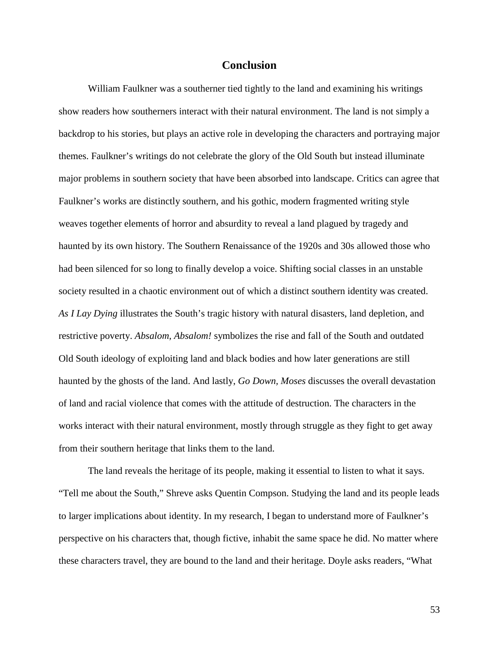#### **Conclusion**

William Faulkner was a southerner tied tightly to the land and examining his writings show readers how southerners interact with their natural environment. The land is not simply a backdrop to his stories, but plays an active role in developing the characters and portraying major themes. Faulkner's writings do not celebrate the glory of the Old South but instead illuminate major problems in southern society that have been absorbed into landscape. Critics can agree that Faulkner's works are distinctly southern, and his gothic, modern fragmented writing style weaves together elements of horror and absurdity to reveal a land plagued by tragedy and haunted by its own history. The Southern Renaissance of the 1920s and 30s allowed those who had been silenced for so long to finally develop a voice. Shifting social classes in an unstable society resulted in a chaotic environment out of which a distinct southern identity was created. *As I Lay Dying* illustrates the South's tragic history with natural disasters, land depletion, and restrictive poverty. *Absalom, Absalom!* symbolizes the rise and fall of the South and outdated Old South ideology of exploiting land and black bodies and how later generations are still haunted by the ghosts of the land. And lastly, *Go Down, Moses* discusses the overall devastation of land and racial violence that comes with the attitude of destruction. The characters in the works interact with their natural environment, mostly through struggle as they fight to get away from their southern heritage that links them to the land.

The land reveals the heritage of its people, making it essential to listen to what it says. "Tell me about the South," Shreve asks Quentin Compson. Studying the land and its people leads to larger implications about identity. In my research, I began to understand more of Faulkner's perspective on his characters that, though fictive, inhabit the same space he did. No matter where these characters travel, they are bound to the land and their heritage. Doyle asks readers, "What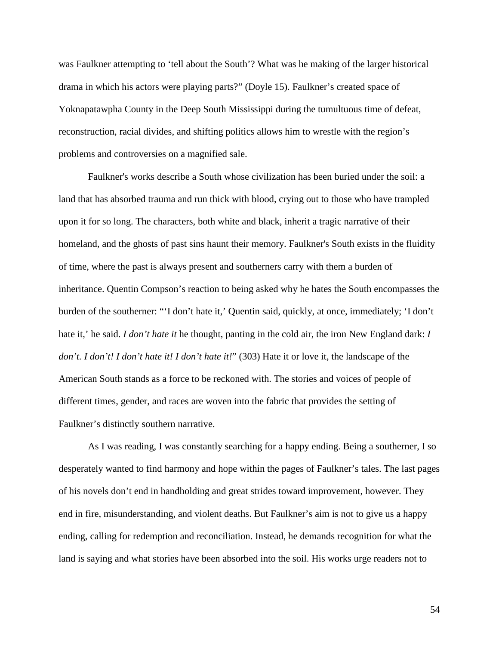was Faulkner attempting to 'tell about the South'? What was he making of the larger historical drama in which his actors were playing parts?" (Doyle 15). Faulkner's created space of Yoknapatawpha County in the Deep South Mississippi during the tumultuous time of defeat, reconstruction, racial divides, and shifting politics allows him to wrestle with the region's problems and controversies on a magnified sale.

Faulkner's works describe a South whose civilization has been buried under the soil: a land that has absorbed trauma and run thick with blood, crying out to those who have trampled upon it for so long. The characters, both white and black, inherit a tragic narrative of their homeland, and the ghosts of past sins haunt their memory. Faulkner's South exists in the fluidity of time, where the past is always present and southerners carry with them a burden of inheritance. Quentin Compson's reaction to being asked why he hates the South encompasses the burden of the southerner: "'I don't hate it,' Quentin said, quickly, at once, immediately; 'I don't hate it,' he said. *I don't hate it* he thought, panting in the cold air, the iron New England dark: *I don't. I don't! I don't hate it! I don't hate it!*" (303) Hate it or love it, the landscape of the American South stands as a force to be reckoned with. The stories and voices of people of different times, gender, and races are woven into the fabric that provides the setting of Faulkner's distinctly southern narrative.

As I was reading, I was constantly searching for a happy ending. Being a southerner, I so desperately wanted to find harmony and hope within the pages of Faulkner's tales. The last pages of his novels don't end in handholding and great strides toward improvement, however. They end in fire, misunderstanding, and violent deaths. But Faulkner's aim is not to give us a happy ending, calling for redemption and reconciliation. Instead, he demands recognition for what the land is saying and what stories have been absorbed into the soil. His works urge readers not to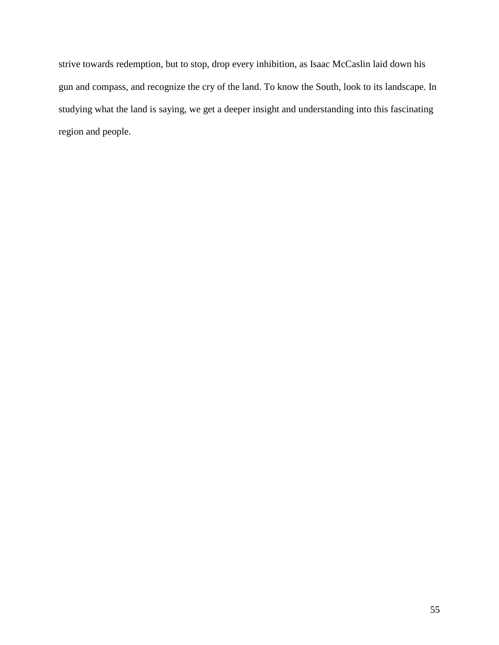strive towards redemption, but to stop, drop every inhibition, as Isaac McCaslin laid down his gun and compass, and recognize the cry of the land. To know the South, look to its landscape. In studying what the land is saying, we get a deeper insight and understanding into this fascinating region and people.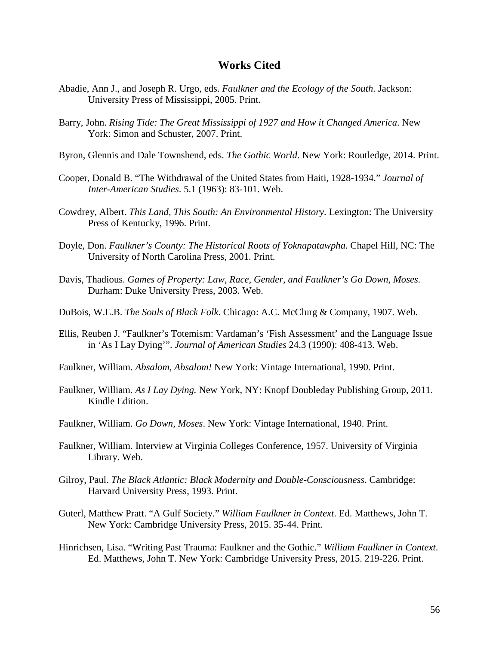#### **Works Cited**

- Abadie, Ann J., and Joseph R. Urgo, eds. *Faulkner and the Ecology of the South*. Jackson: University Press of Mississippi, 2005. Print.
- Barry, John. *Rising Tide: The Great Mississippi of 1927 and How it Changed America*. New York: Simon and Schuster, 2007. Print.
- Byron, Glennis and Dale Townshend, eds. *The Gothic World*. New York: Routledge, 2014. Print.
- Cooper, Donald B. "The Withdrawal of the United States from Haiti, 1928-1934." *Journal of Inter-American Studies*. 5.1 (1963): 83-101. Web.
- Cowdrey, Albert. *This Land, This South: An Environmental History*. Lexington: The University Press of Kentucky, 1996. Print.
- Doyle, Don. *Faulkner's County: The Historical Roots of Yoknapatawpha.* Chapel Hill, NC: The University of North Carolina Press, 2001. Print.
- Davis, Thadious. *Games of Property: Law, Race, Gender, and Faulkner's Go Down, Moses.*  Durham: Duke University Press, 2003. Web.
- DuBois, W.E.B. *The Souls of Black Folk*. Chicago: A.C. McClurg & Company, 1907. Web.
- Ellis, Reuben J. "Faulkner's Totemism: Vardaman's 'Fish Assessment' and the Language Issue in 'As I Lay Dying'". *Journal of American Studies* 24.3 (1990): 408-413. Web.
- Faulkner, William. *Absalom, Absalom!* New York: Vintage International, 1990. Print.
- Faulkner, William. *As I Lay Dying.* New York, NY: Knopf Doubleday Publishing Group, 2011. Kindle Edition.
- Faulkner, William. *Go Down, Moses*. New York: Vintage International, 1940. Print.
- Faulkner, William. Interview at Virginia Colleges Conference, 1957. University of Virginia Library. Web.
- Gilroy, Paul. *The Black Atlantic: Black Modernity and Double-Consciousness*. Cambridge: Harvard University Press, 1993. Print.
- Guterl, Matthew Pratt. "A Gulf Society." *William Faulkner in Context*. Ed. Matthews, John T. New York: Cambridge University Press, 2015. 35-44. Print.
- Hinrichsen, Lisa. "Writing Past Trauma: Faulkner and the Gothic." *William Faulkner in Context*. Ed. Matthews, John T. New York: Cambridge University Press, 2015. 219-226. Print.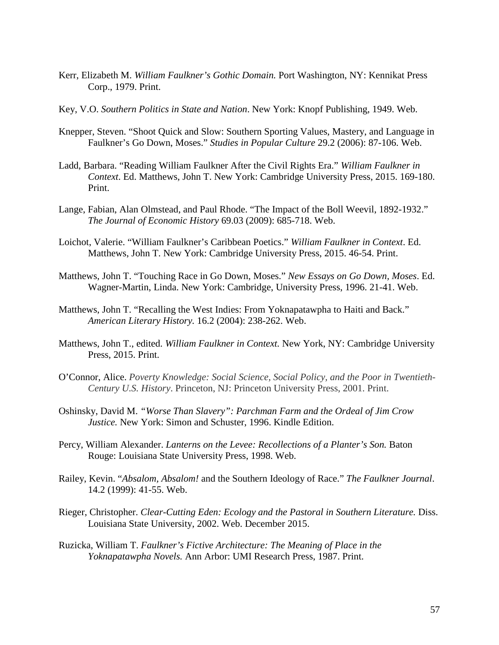- Kerr, Elizabeth M. *William Faulkner's Gothic Domain.* Port Washington, NY: Kennikat Press Corp., 1979. Print.
- Key, V.O. *Southern Politics in State and Nation*. New York: Knopf Publishing, 1949. Web.
- Knepper, Steven. "Shoot Quick and Slow: Southern Sporting Values, Mastery, and Language in Faulkner's Go Down, Moses." *Studies in Popular Culture* 29.2 (2006): 87-106. Web.
- Ladd, Barbara. "Reading William Faulkner After the Civil Rights Era." *William Faulkner in Context*. Ed. Matthews, John T. New York: Cambridge University Press, 2015. 169-180. Print.
- Lange, Fabian, Alan Olmstead, and Paul Rhode. "The Impact of the Boll Weevil, 1892-1932." *The Journal of Economic History* 69.03 (2009): 685-718. Web.
- Loichot, Valerie. "William Faulkner's Caribbean Poetics." *William Faulkner in Context*. Ed. Matthews, John T. New York: Cambridge University Press, 2015. 46-54. Print.
- Matthews, John T. "Touching Race in Go Down, Moses." *New Essays on Go Down, Moses*. Ed. Wagner-Martin, Linda. New York: Cambridge, University Press, 1996. 21-41. Web.
- Matthews, John T. "Recalling the West Indies: From Yoknapatawpha to Haiti and Back." *American Literary History.* 16.2 (2004): 238-262. Web.
- Matthews, John T., edited. *William Faulkner in Context.* New York, NY: Cambridge University Press, 2015. Print.
- O'Connor, Alice. *Poverty Knowledge: Social Science, Social Policy, and the Poor in Twentieth-Century U.S. History*. Princeton, NJ: Princeton University Press, 2001. Print.
- Oshinsky, David M. *"Worse Than Slavery": Parchman Farm and the Ordeal of Jim Crow Justice.* New York: Simon and Schuster, 1996. Kindle Edition.
- Percy, William Alexander. *Lanterns on the Levee: Recollections of a Planter's Son.* Baton Rouge: Louisiana State University Press, 1998. Web.
- Railey, Kevin. "*Absalom, Absalom!* and the Southern Ideology of Race." *The Faulkner Journal*. 14.2 (1999): 41-55. Web.
- Rieger, Christopher. *Clear-Cutting Eden: Ecology and the Pastoral in Southern Literature.* Diss. Louisiana State University, 2002. Web. December 2015.
- Ruzicka, William T. *Faulkner's Fictive Architecture: The Meaning of Place in the Yoknapatawpha Novels.* Ann Arbor: UMI Research Press, 1987. Print.